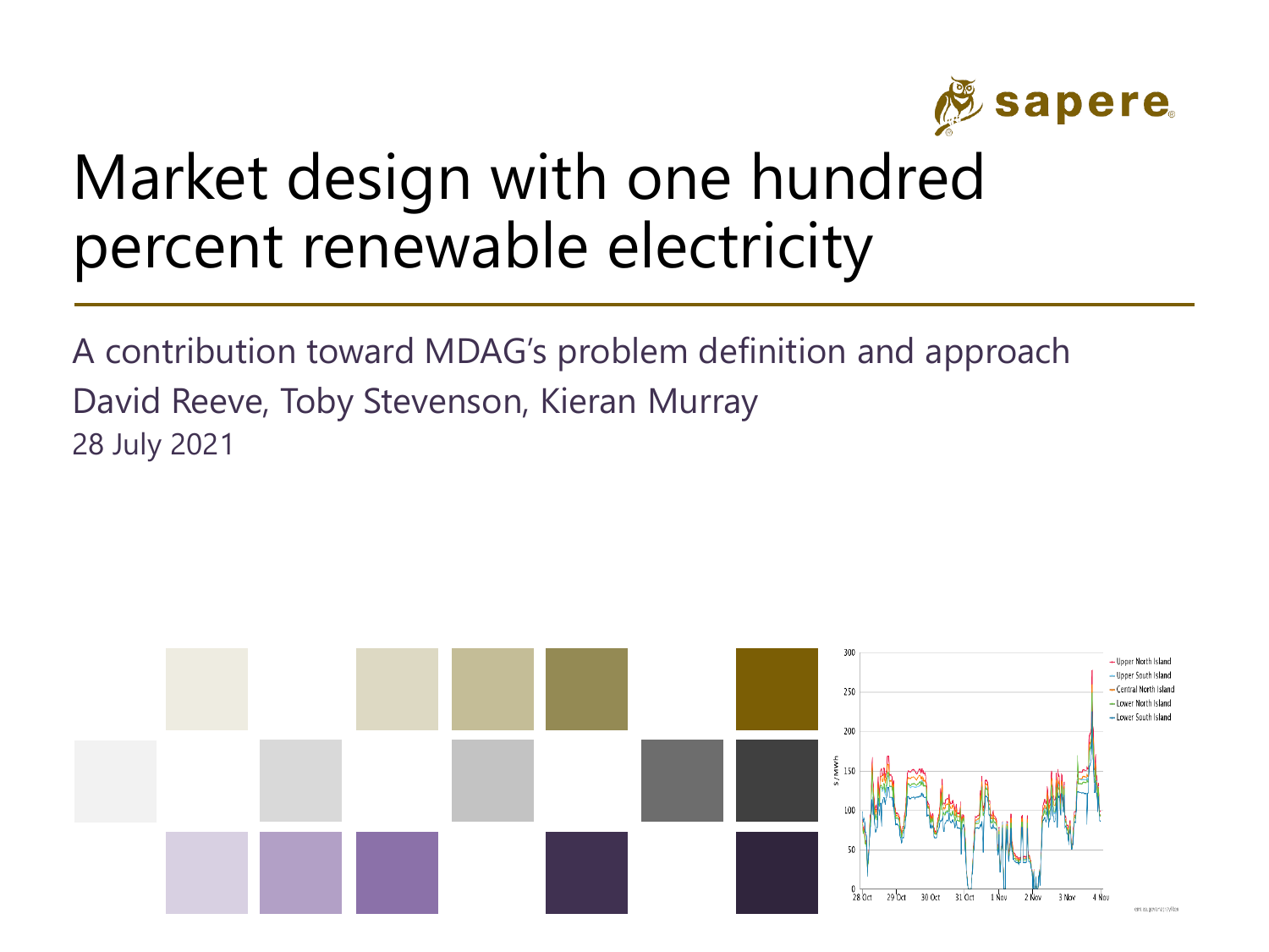

#### Market design with one hundred percent renewable electricity

A contribution toward MDAG's problem definition and approach 28 July 2021 David Reeve, Toby Stevenson, Kieran Murray

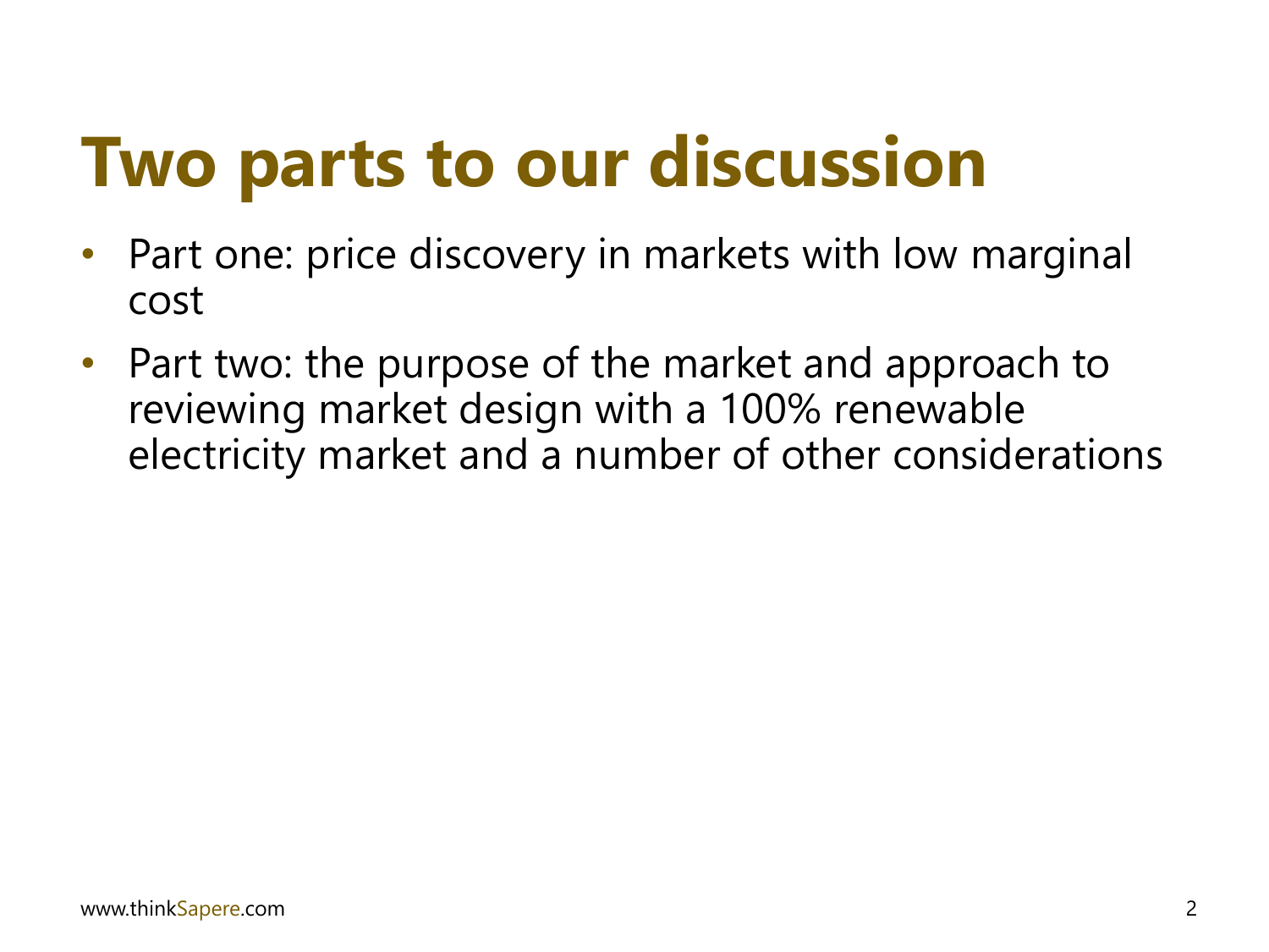### **Two parts to our discussion**

- Part one: price discovery in markets with low marginal cost
- Part two: the purpose of the market and approach to reviewing market design with a 100% renewable electricity market and a number of other considerations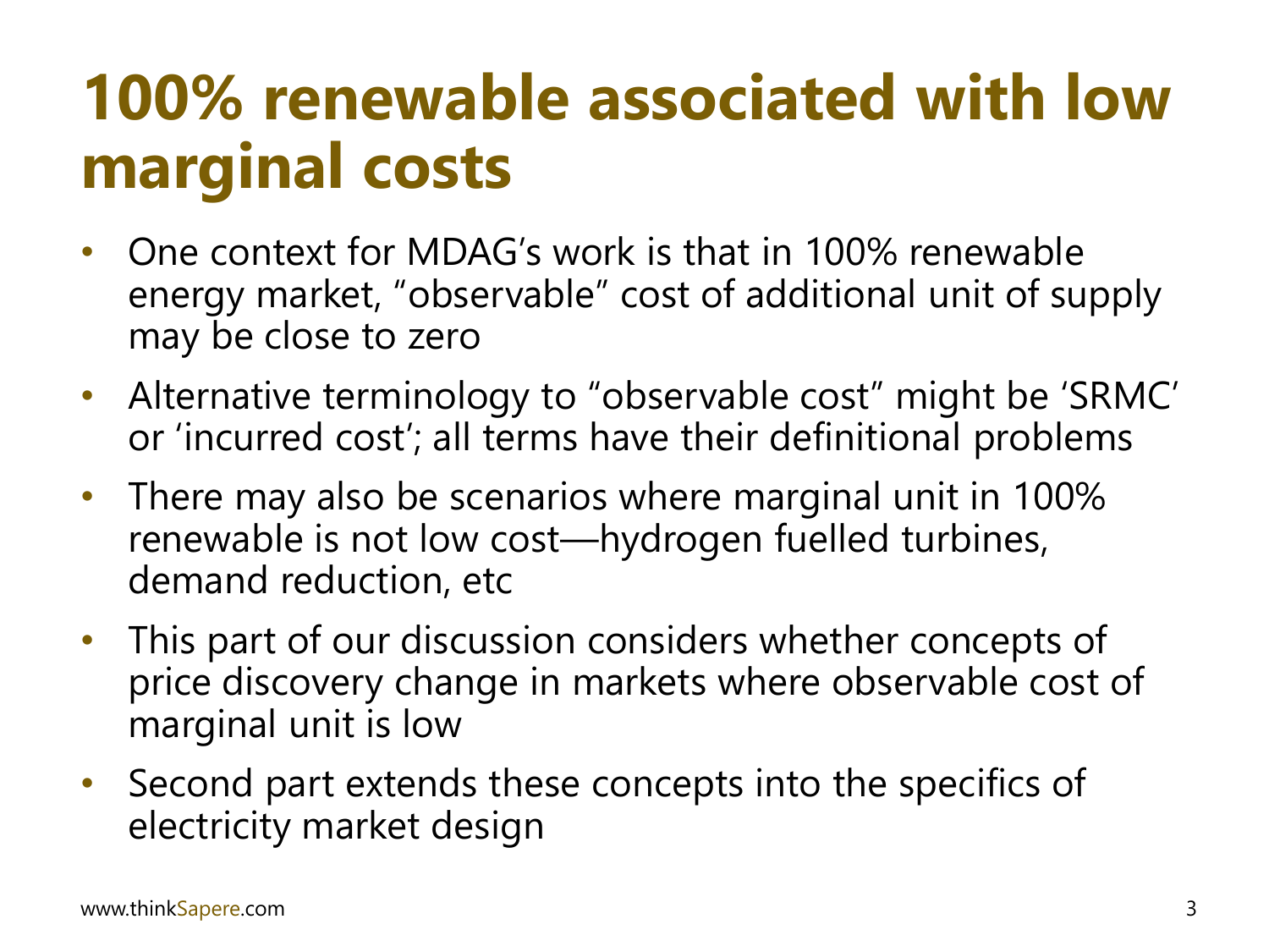### **100% renewable associated with low marginal costs**

- One context for MDAG's work is that in 100% renewable energy market, "observable" cost of additional unit of supply may be close to zero
- Alternative terminology to "observable cost" might be 'SRMC' or 'incurred cost'; all terms have their definitional problems
- There may also be scenarios where marginal unit in 100% renewable is not low cost—hydrogen fuelled turbines, demand reduction, etc
- This part of our discussion considers whether concepts of price discovery change in markets where observable cost of marginal unit is low
- Second part extends these concepts into the specifics of electricity market design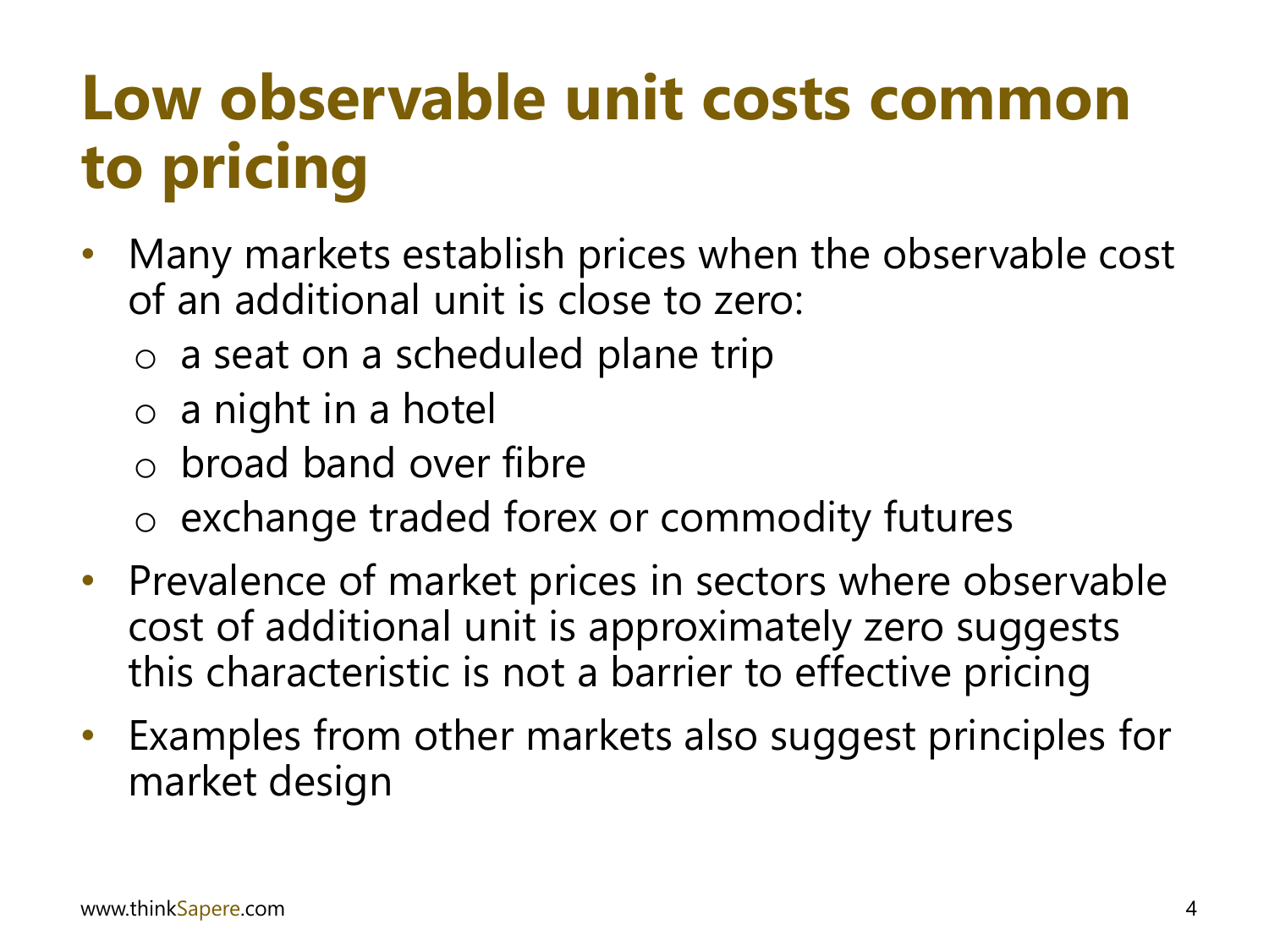### **Low observable unit costs common to pricing**

- Many markets establish prices when the observable cost of an additional unit is close to zero:
	- o a seat on a scheduled plane trip
	- o a night in a hotel
	- $\circ$  broad band over fibre
	- o exchange traded forex or commodity futures
- Prevalence of market prices in sectors where observable cost of additional unit is approximately zero suggests this characteristic is not a barrier to effective pricing
- Examples from other markets also suggest principles for market design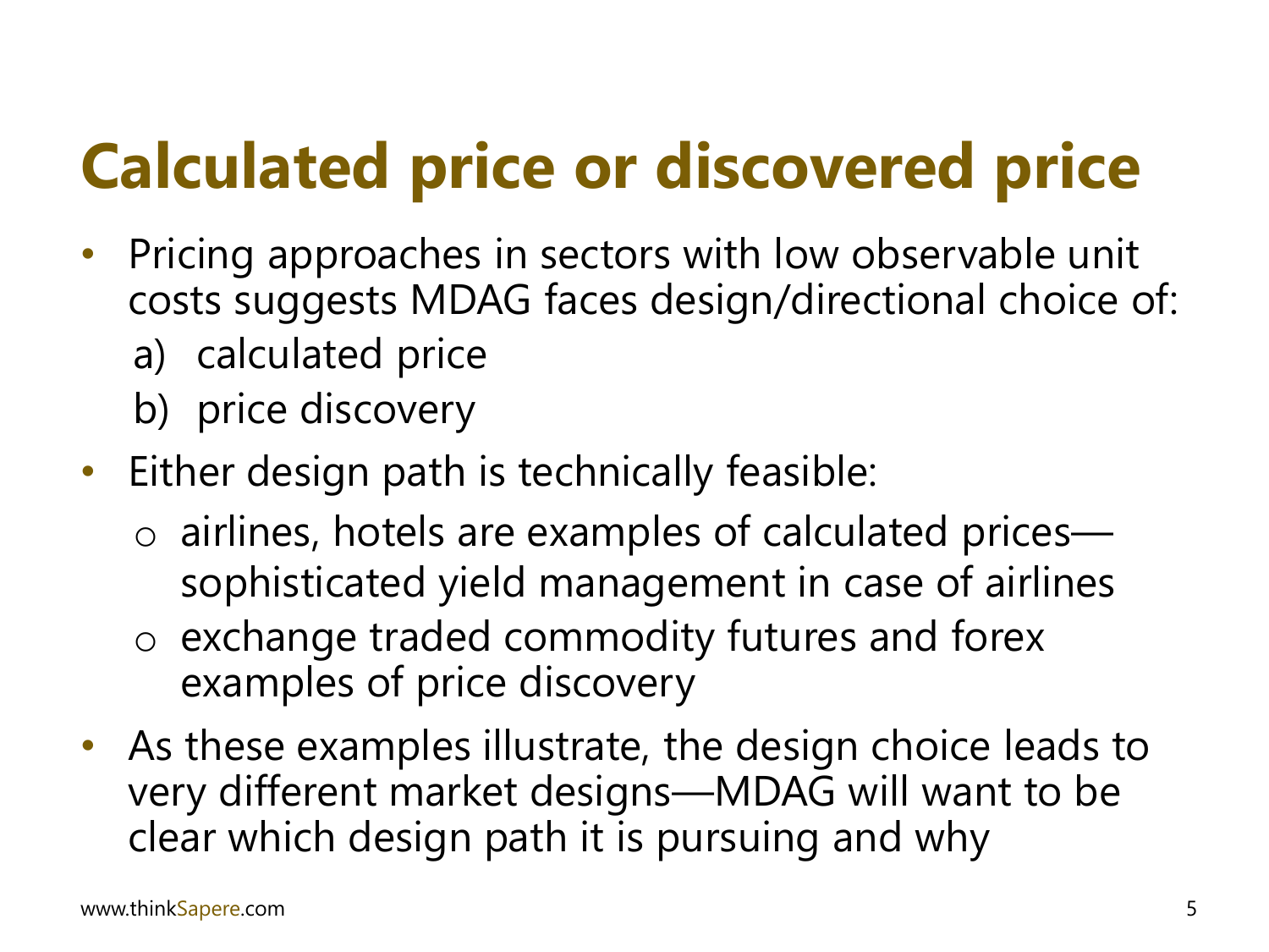### **Calculated price or discovered price**

- Pricing approaches in sectors with low observable unit costs suggests MDAG faces design/directional choice of:
	- a) calculated price
	- b) price discovery
- Either design path is technically feasible:
	- o airlines, hotels are examples of calculated prices sophisticated yield management in case of airlines
	- o exchange traded commodity futures and forex examples of price discovery
- As these examples illustrate, the design choice leads to very different market designs—MDAG will want to be clear which design path it is pursuing and why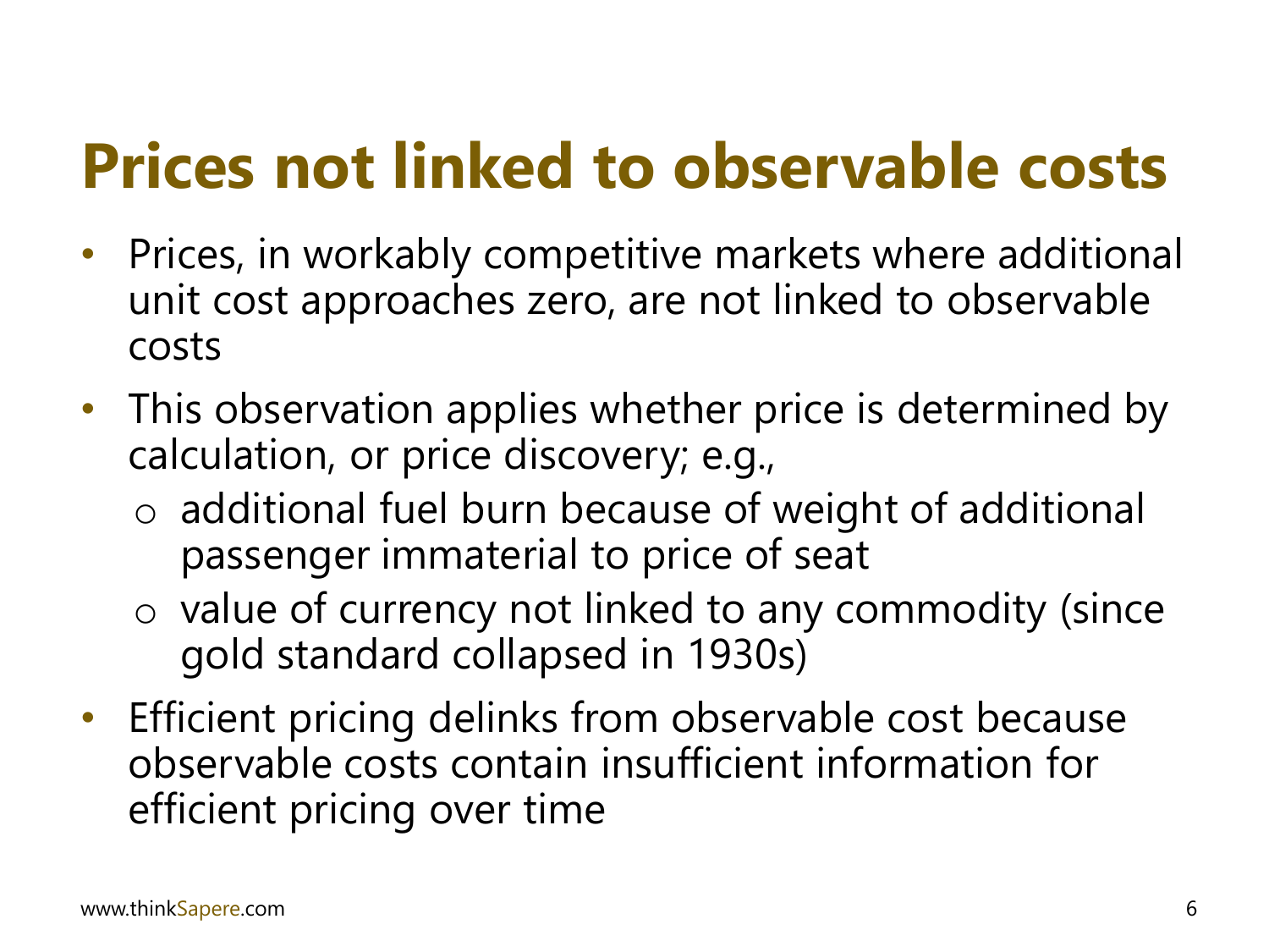### **Prices not linked to observable costs**

- Prices, in workably competitive markets where additional unit cost approaches zero, are not linked to observable costs
- This observation applies whether price is determined by calculation, or price discovery; e.g.,
	- o additional fuel burn because of weight of additional passenger immaterial to price of seat
	- o value of currency not linked to any commodity (since gold standard collapsed in 1930s)
- Efficient pricing delinks from observable cost because observable costs contain insufficient information for efficient pricing over time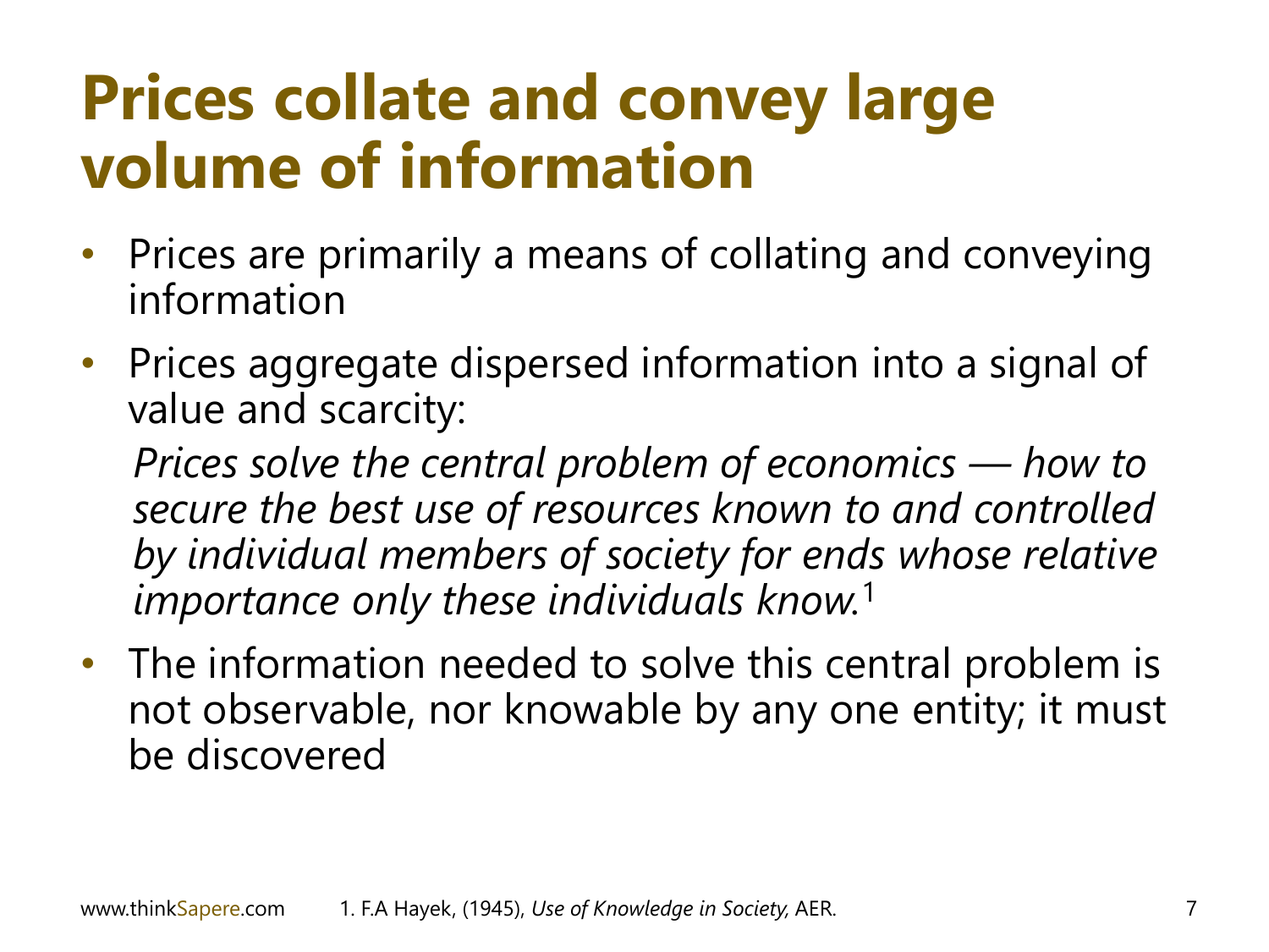### **Prices collate and convey large volume of information**

- Prices are primarily a means of collating and conveying information
- Prices aggregate dispersed information into a signal of value and scarcity:

*Prices solve the central problem of economics — how to secure the best use of resources known to and controlled by individual members of society for ends whose relative importance only these individuals know.*<sup>1</sup>

• The information needed to solve this central problem is not observable, nor knowable by any one entity; it must be discovered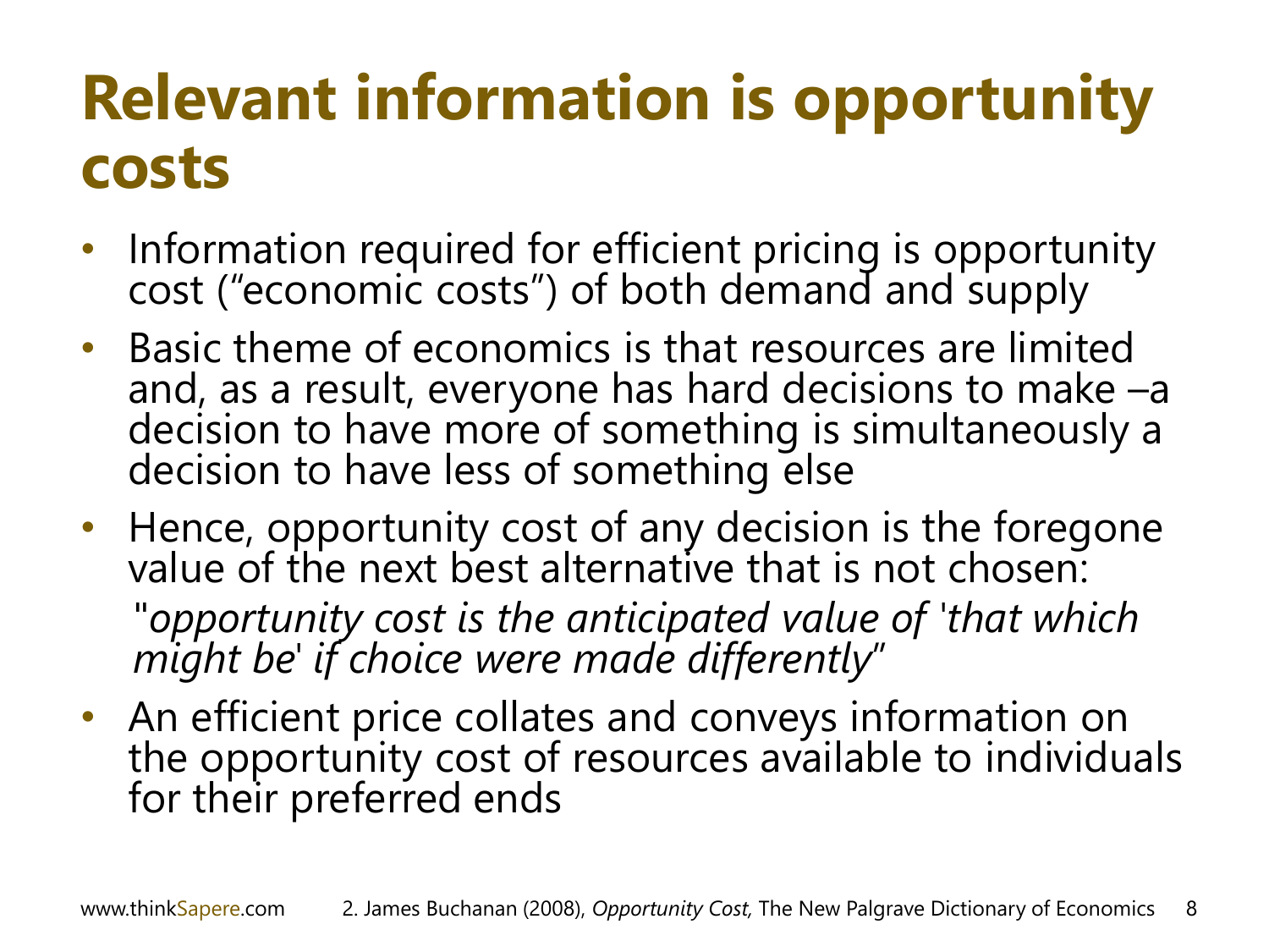### **Relevant information is opportunity costs**

- Information required for efficient pricing is opportunity cost ("economic costs") of both demand and supply
- Basic theme of economics is that resources are limited and, as a result, everyone has hard decisions to make –a decision to have more of something is simultaneously a decision to have less of something else
- Hence, opportunity cost of any decision is the foregone value of the next best alternative that is not chosen: "*opportunity cost is the anticipated value of 'that which might be' if choice were made differently*"
- An efficient price collates and conveys information on the opportunity cost of resources available to individuals for their preferred ends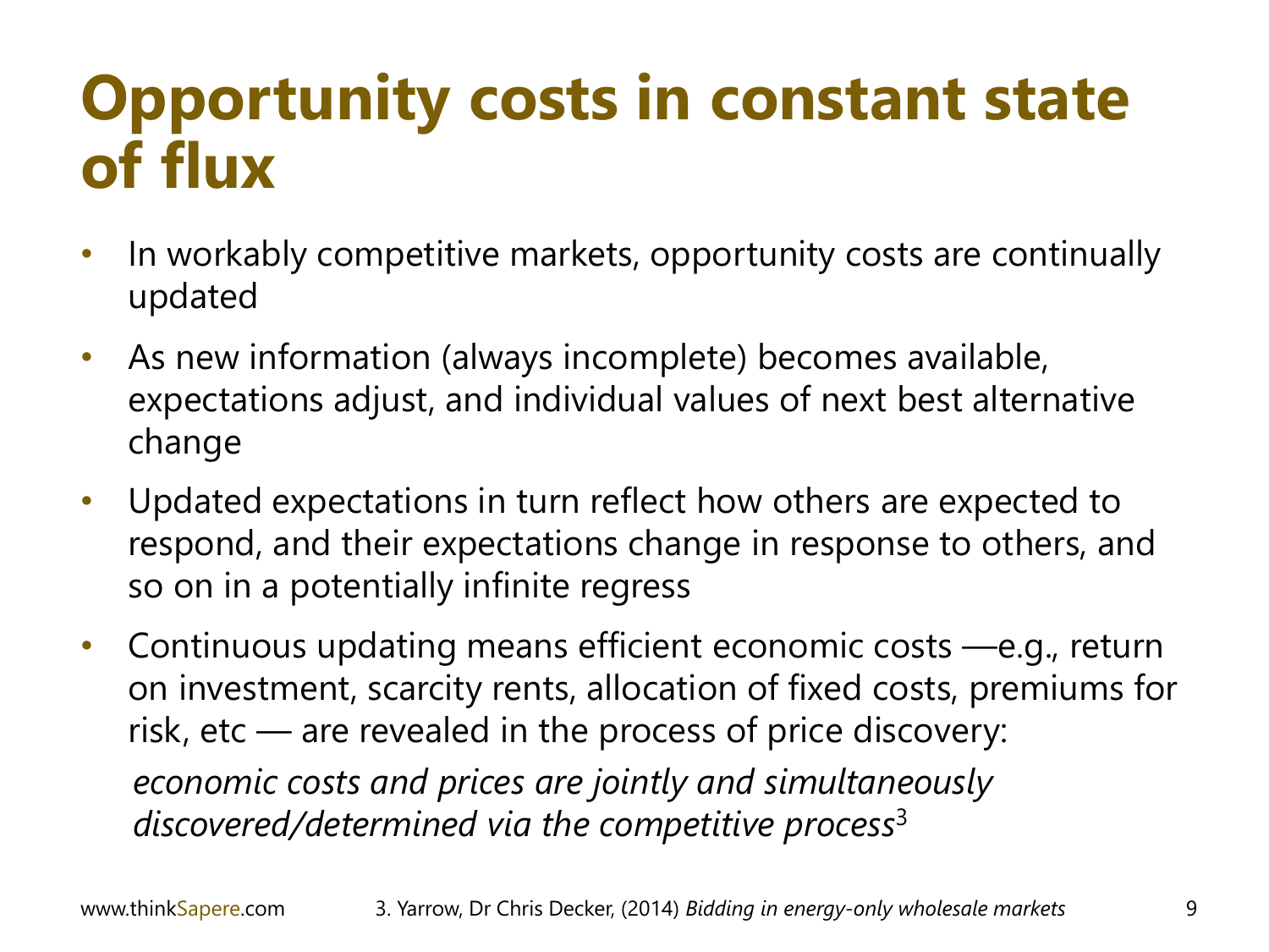### **Opportunity costs in constant state of flux**

- In workably competitive markets, opportunity costs are continually updated
- As new information (always incomplete) becomes available, expectations adjust, and individual values of next best alternative change
- Updated expectations in turn reflect how others are expected to respond, and their expectations change in response to others, and so on in a potentially infinite regress
- Continuous updating means efficient economic costs —e.g., return on investment, scarcity rents, allocation of fixed costs, premiums for risk, etc — are revealed in the process of price discovery: *economic costs and prices are jointly and simultaneously discovered/determined via the competitive process*<sup>3</sup>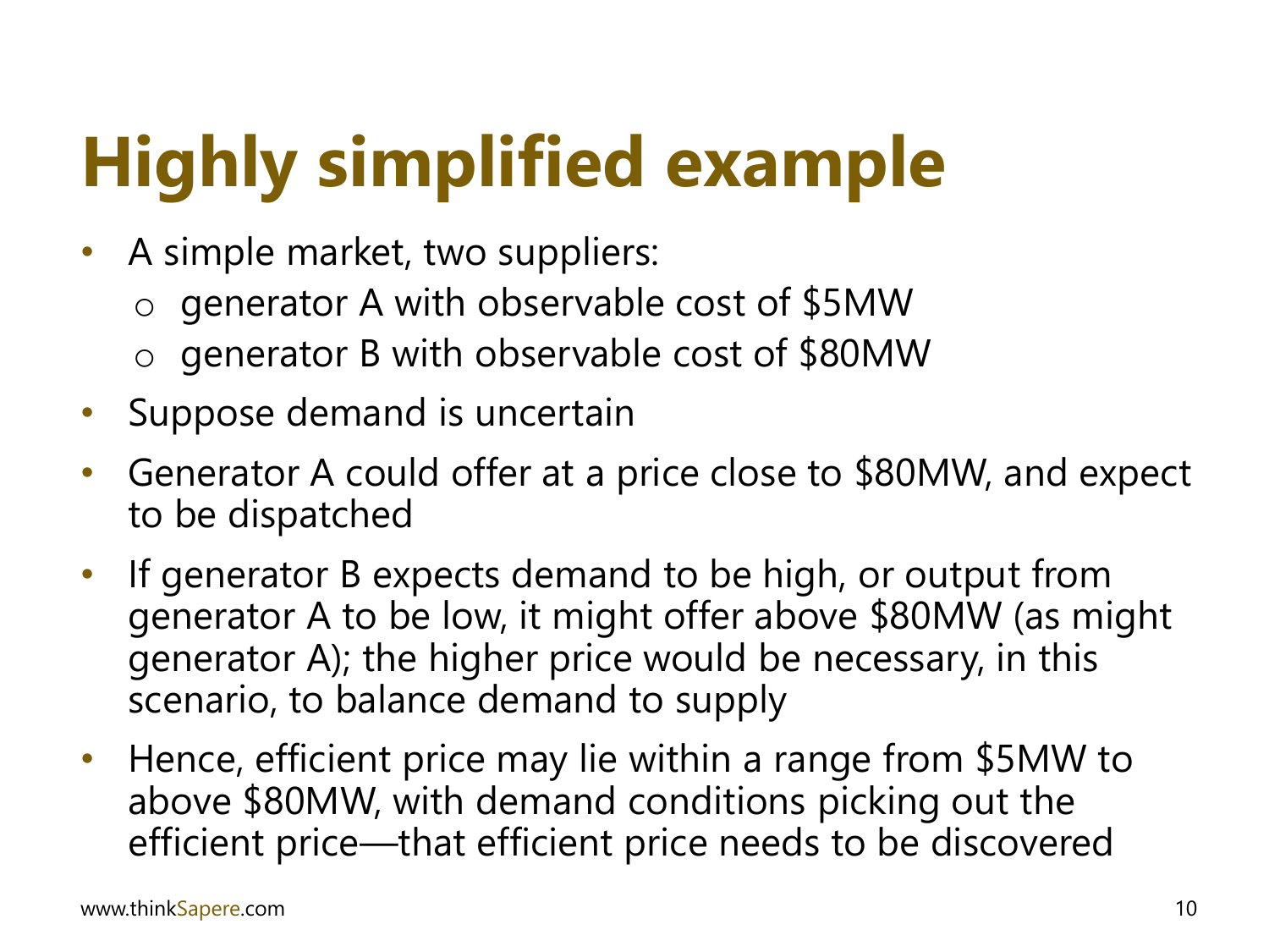# **Highly simplified example**

- A simple market, two suppliers:
	- o generator A with observable cost of \$5MW
	- o generator B with observable cost of \$80MW
- Suppose demand is uncertain
- Generator A could offer at a price close to \$80MW, and expect to be dispatched
- If generator B expects demand to be high, or output from generator A to be low, it might offer above \$80MW (as might generator A); the higher price would be necessary, in this scenario, to balance demand to supply
- Hence, efficient price may lie within a range from \$5MW to above \$80MW, with demand conditions picking out the efficient price—that efficient price needs to be discovered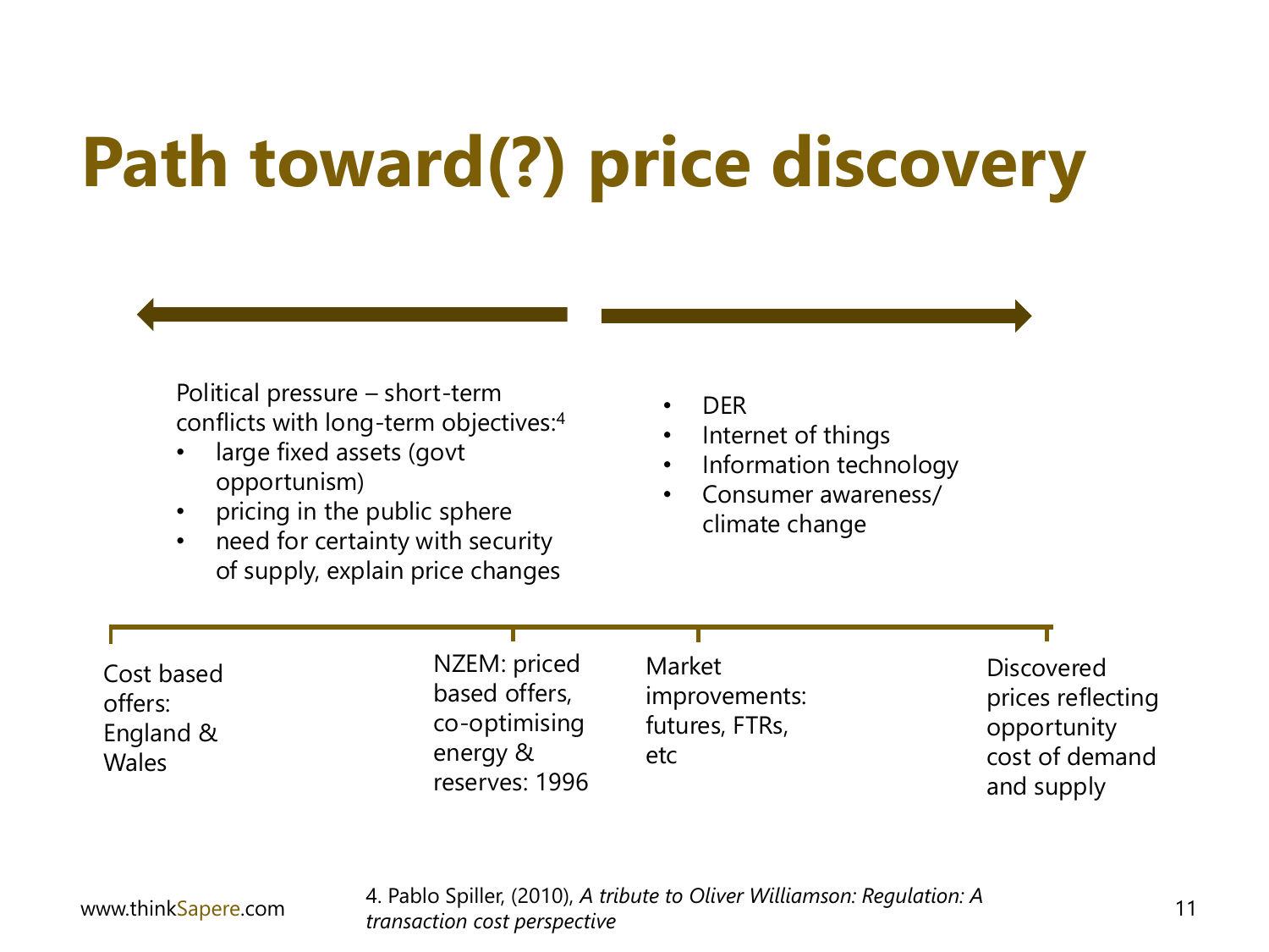# **Path toward(?) price discovery**

Political pressure – short-term conflicts with long-term objectives:<sup>4</sup>

- large fixed assets (govt opportunism)
- pricing in the public sphere
- need for certainty with security of supply, explain price changes
- DER
- Internet of things
- Information technology
- Consumer awareness/ climate change

| Cost based<br>offers:<br>England &<br><b>Wales</b> | NZEM: priced<br>based offers,<br>co-optimising<br>energy &<br>reserves: 1996 | Market<br>improvements:<br>futures, FTRs,<br>etc | <b>Discovered</b><br>prices reflecting<br>opportunity<br>cost of demand<br>and supply |
|----------------------------------------------------|------------------------------------------------------------------------------|--------------------------------------------------|---------------------------------------------------------------------------------------|
|                                                    |                                                                              |                                                  |                                                                                       |

www.thinkSapere.com 11 4. Pablo Spiller, (2010), *A tribute to Oliver Williamson: Regulation: A transaction cost perspective*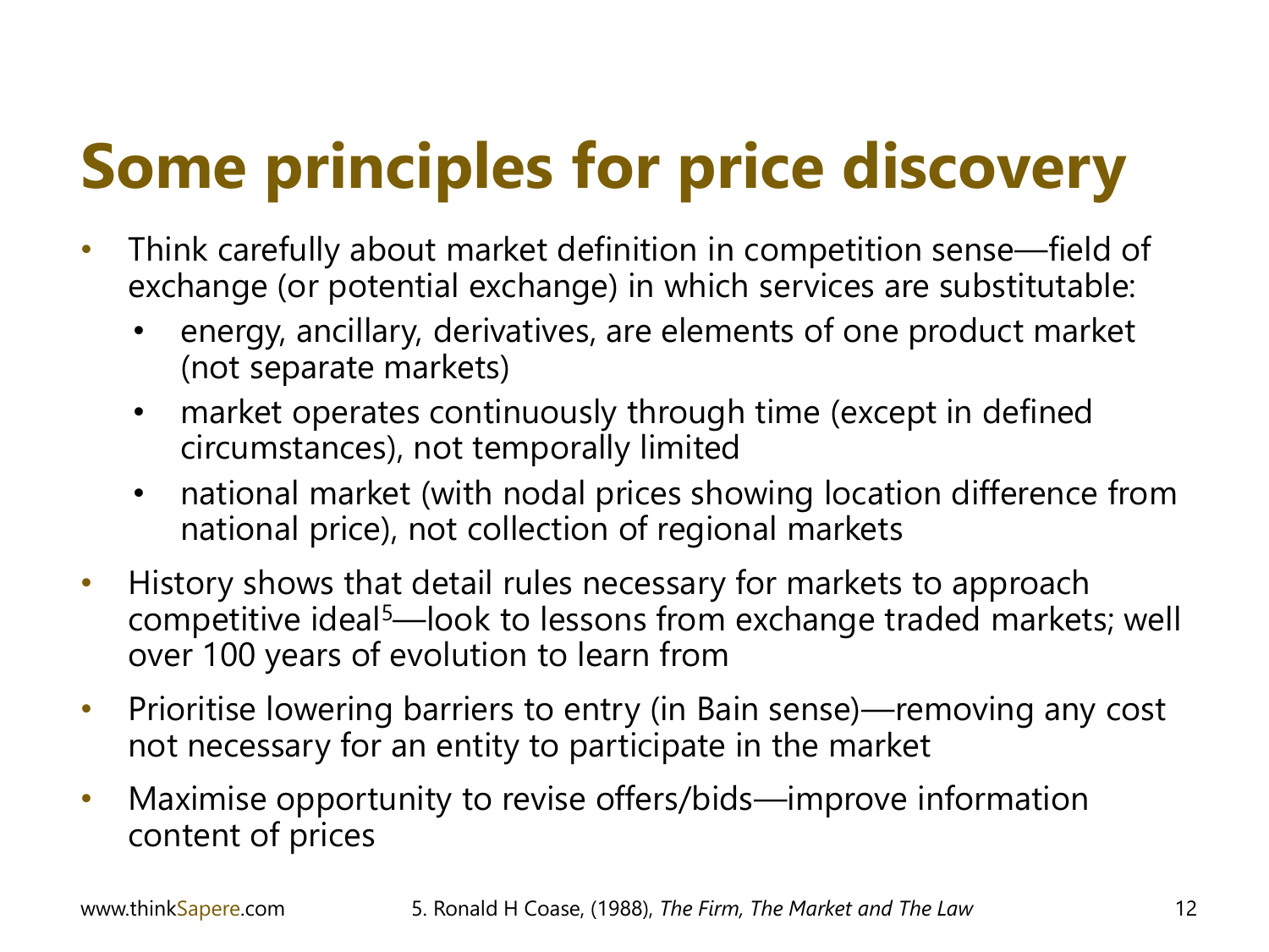### **Some principles for price discovery**

- Think carefully about market definition in competition sense—field of exchange (or potential exchange) in which services are substitutable:
	- energy, ancillary, derivatives, are elements of one product market (not separate markets)
	- market operates continuously through time (except in defined circumstances), not temporally limited
	- national market (with nodal prices showing location difference from national price), not collection of regional markets
- History shows that detail rules necessary for markets to approach competitive ideal<sup>5</sup>—look to lessons from exchange traded markets; well over 100 years of evolution to learn from
- Prioritise lowering barriers to entry (in Bain sense)—removing any cost not necessary for an entity to participate in the market
- Maximise opportunity to revise offers/bids—improve information content of prices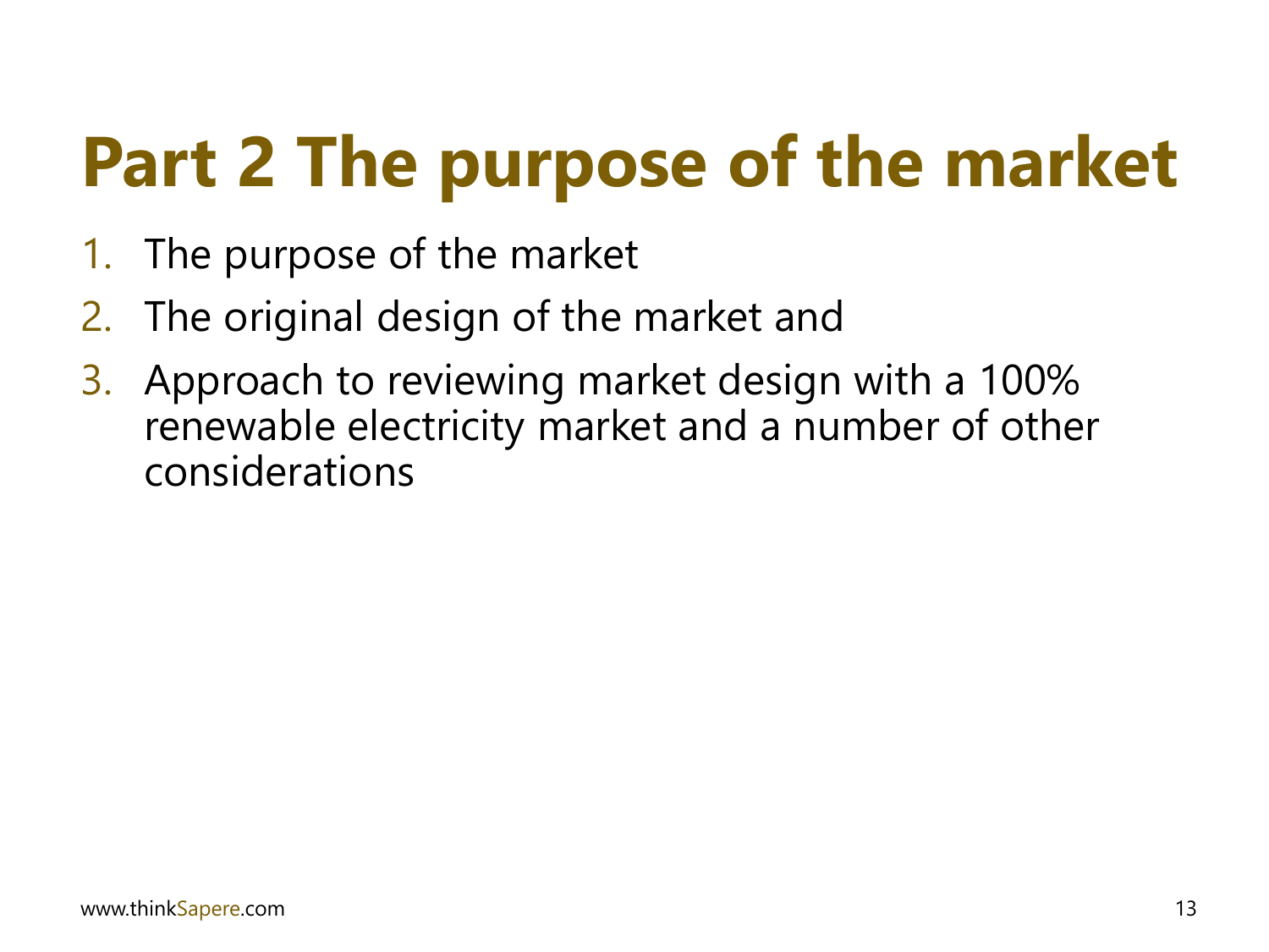# **Part 2 The purpose of the market**

- 1. The purpose of the market
- 2. The original design of the market and
- 3. Approach to reviewing market design with a 100% renewable electricity market and a number of other considerations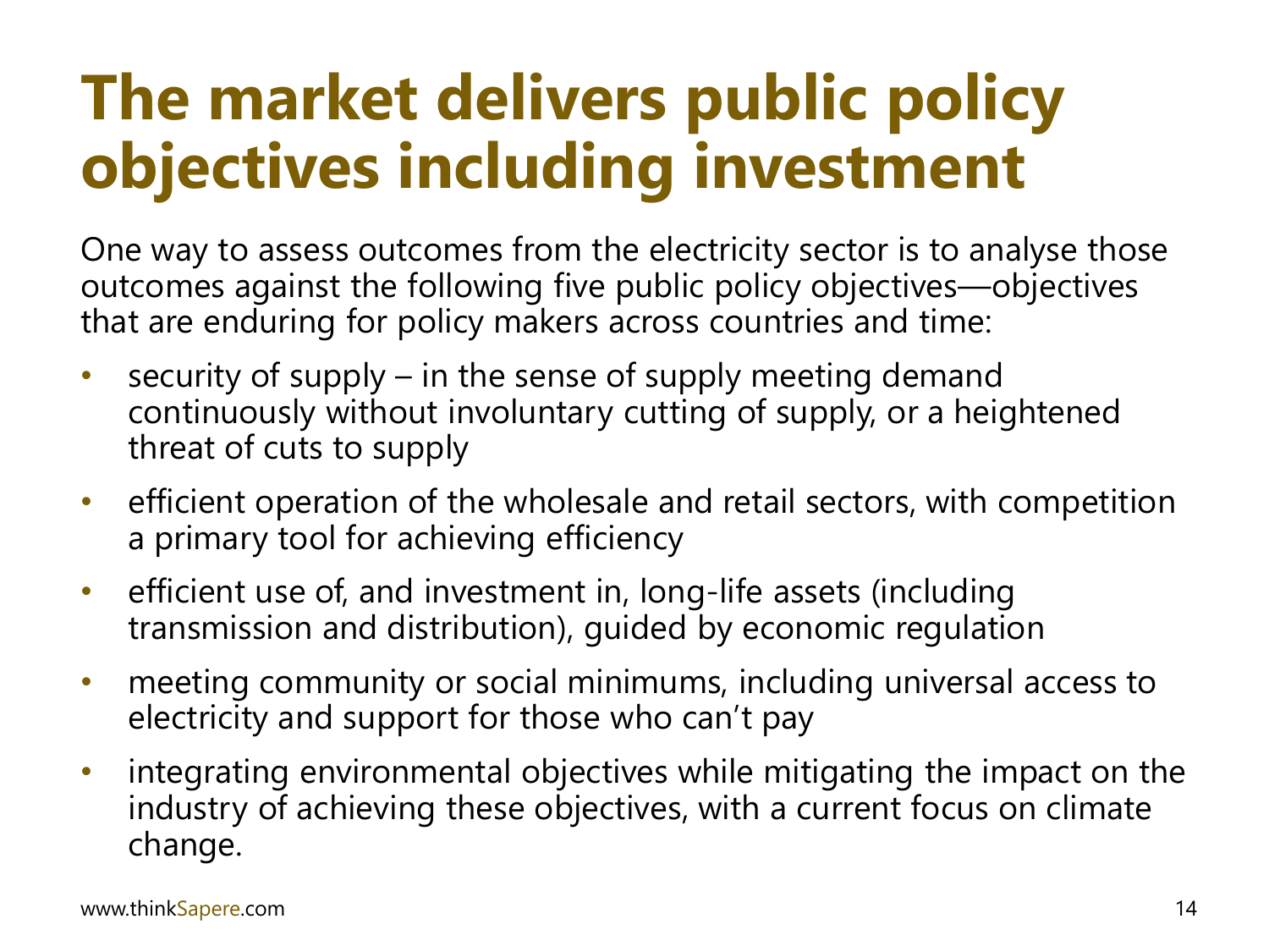### **The market delivers public policy objectives including investment**

One way to assess outcomes from the electricity sector is to analyse those outcomes against the following five public policy objectives—objectives that are enduring for policy makers across countries and time:

- security of supply in the sense of supply meeting demand continuously without involuntary cutting of supply, or a heightened threat of cuts to supply
- efficient operation of the wholesale and retail sectors, with competition a primary tool for achieving efficiency
- efficient use of, and investment in, long-life assets (including transmission and distribution), guided by economic regulation
- meeting community or social minimums, including universal access to electricity and support for those who can't pay
- integrating environmental objectives while mitigating the impact on the industry of achieving these objectives, with a current focus on climate change.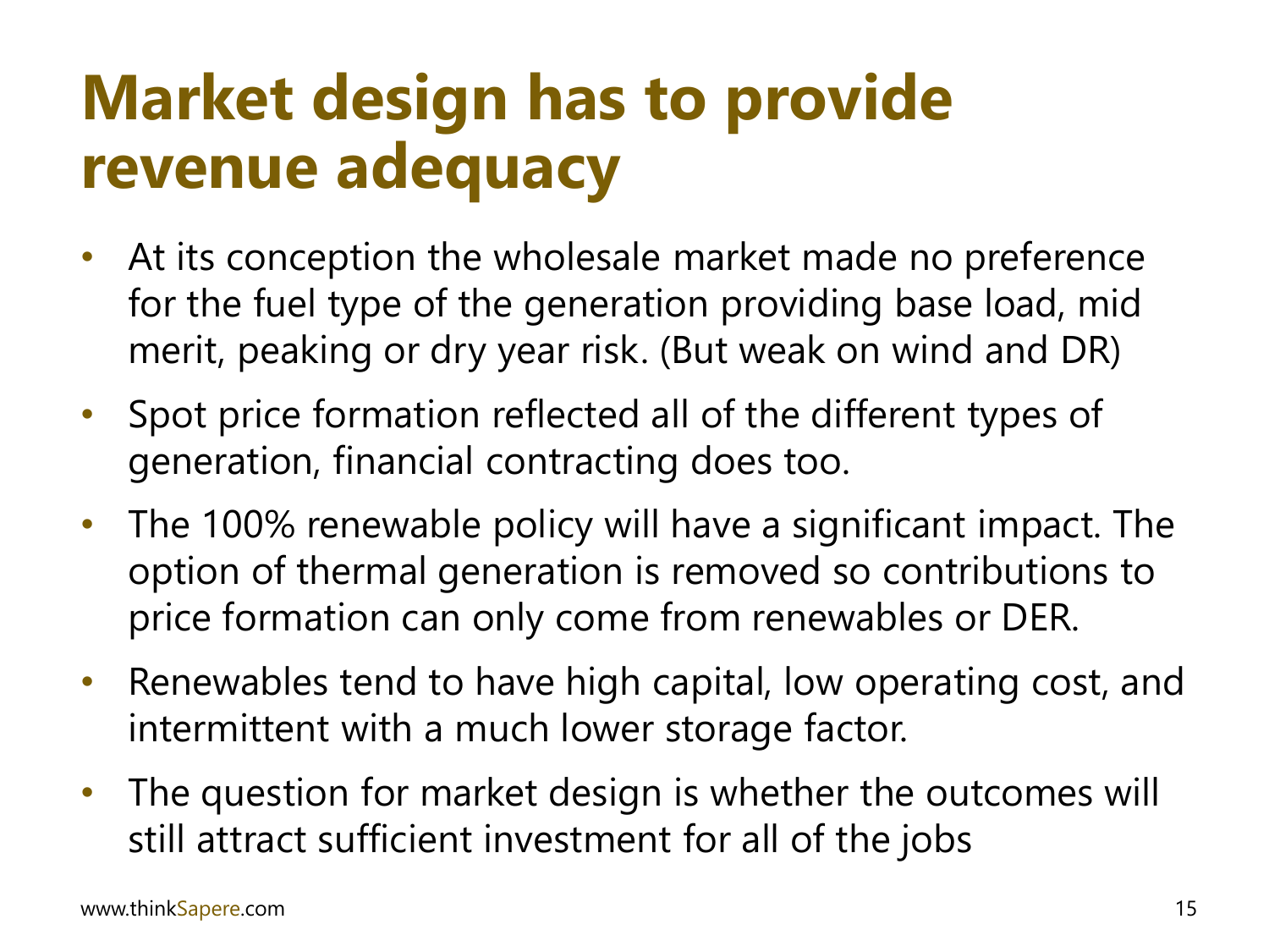### **Market design has to provide revenue adequacy**

- At its conception the wholesale market made no preference for the fuel type of the generation providing base load, mid merit, peaking or dry year risk. (But weak on wind and DR)
- Spot price formation reflected all of the different types of generation, financial contracting does too.
- The 100% renewable policy will have a significant impact. The option of thermal generation is removed so contributions to price formation can only come from renewables or DER.
- Renewables tend to have high capital, low operating cost, and intermittent with a much lower storage factor.
- The question for market design is whether the outcomes will still attract sufficient investment for all of the jobs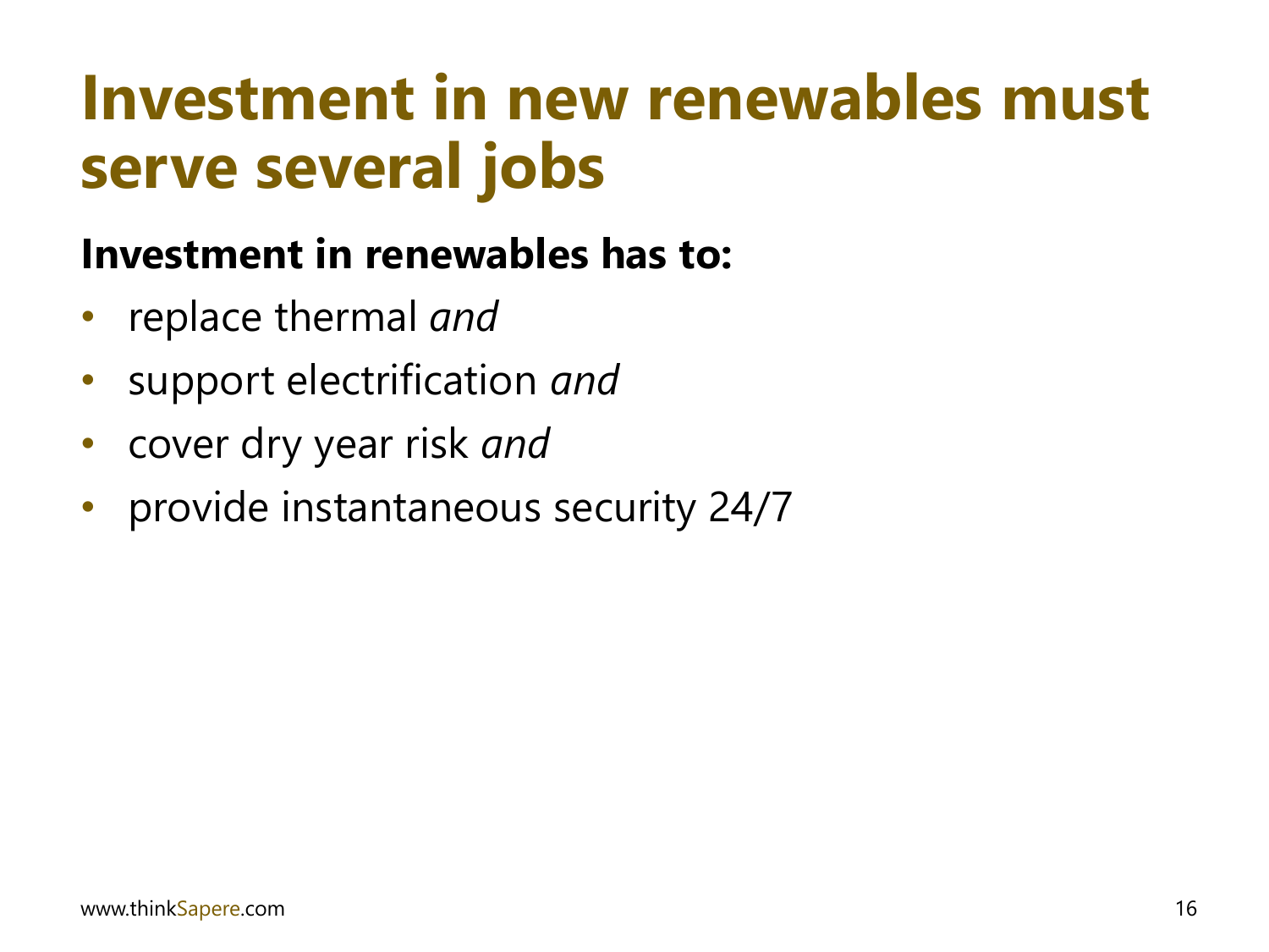### **Investment in new renewables must serve several jobs**

#### **Investment in renewables has to:**

- replace thermal *and*
- support electrification *and*
- cover dry year risk *and*
- provide instantaneous security 24/7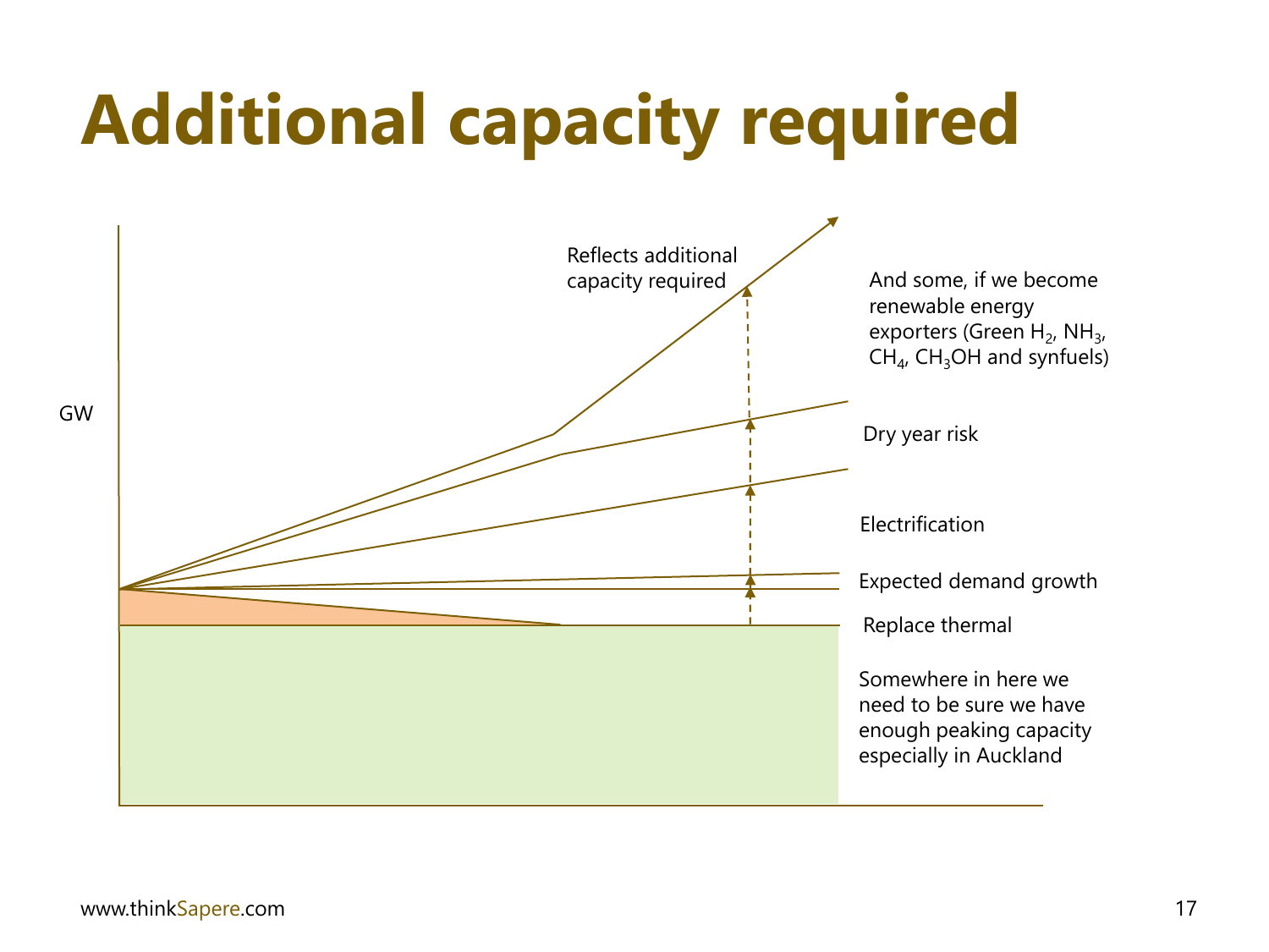# **Additional capacity required**

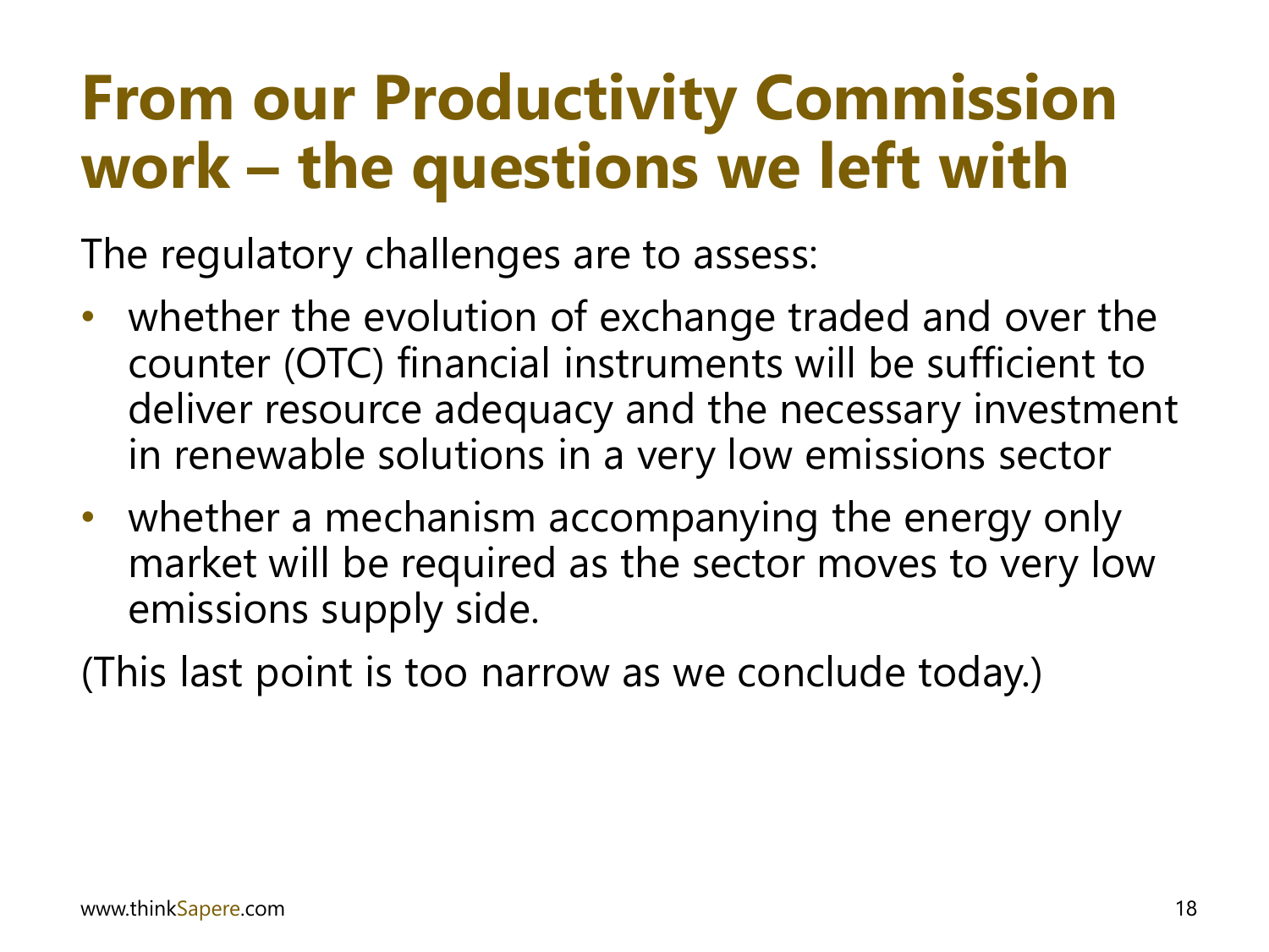### **From our Productivity Commission work – the questions we left with**

The regulatory challenges are to assess:

- whether the evolution of exchange traded and over the counter (OTC) financial instruments will be sufficient to deliver resource adequacy and the necessary investment in renewable solutions in a very low emissions sector
- whether a mechanism accompanying the energy only market will be required as the sector moves to very low emissions supply side.

(This last point is too narrow as we conclude today.)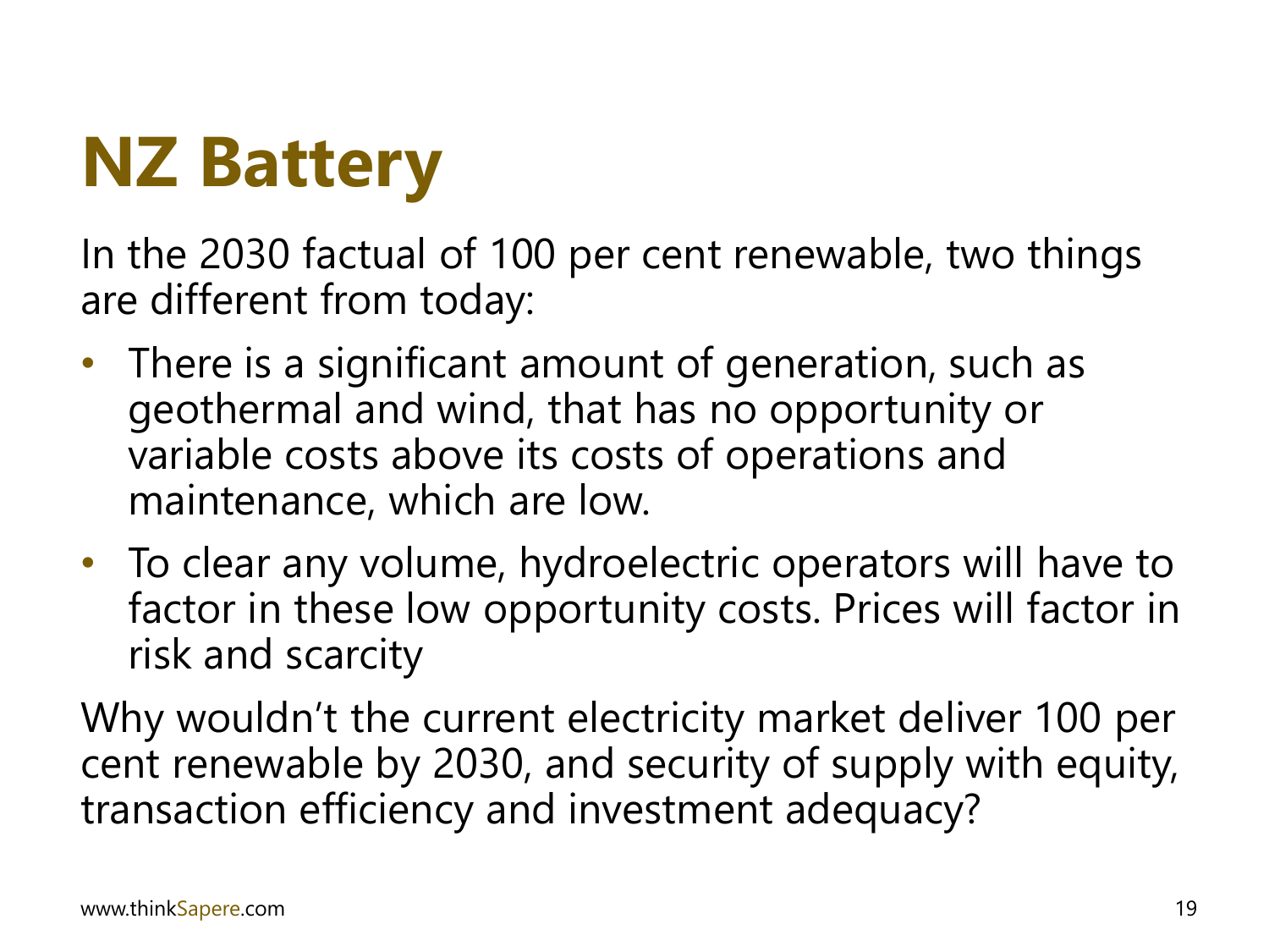### **NZ Battery**

In the 2030 factual of 100 per cent renewable, two things are different from today:

- There is a significant amount of generation, such as geothermal and wind, that has no opportunity or variable costs above its costs of operations and maintenance, which are low.
- To clear any volume, hydroelectric operators will have to factor in these low opportunity costs. Prices will factor in risk and scarcity

Why wouldn't the current electricity market deliver 100 per cent renewable by 2030, and security of supply with equity, transaction efficiency and investment adequacy?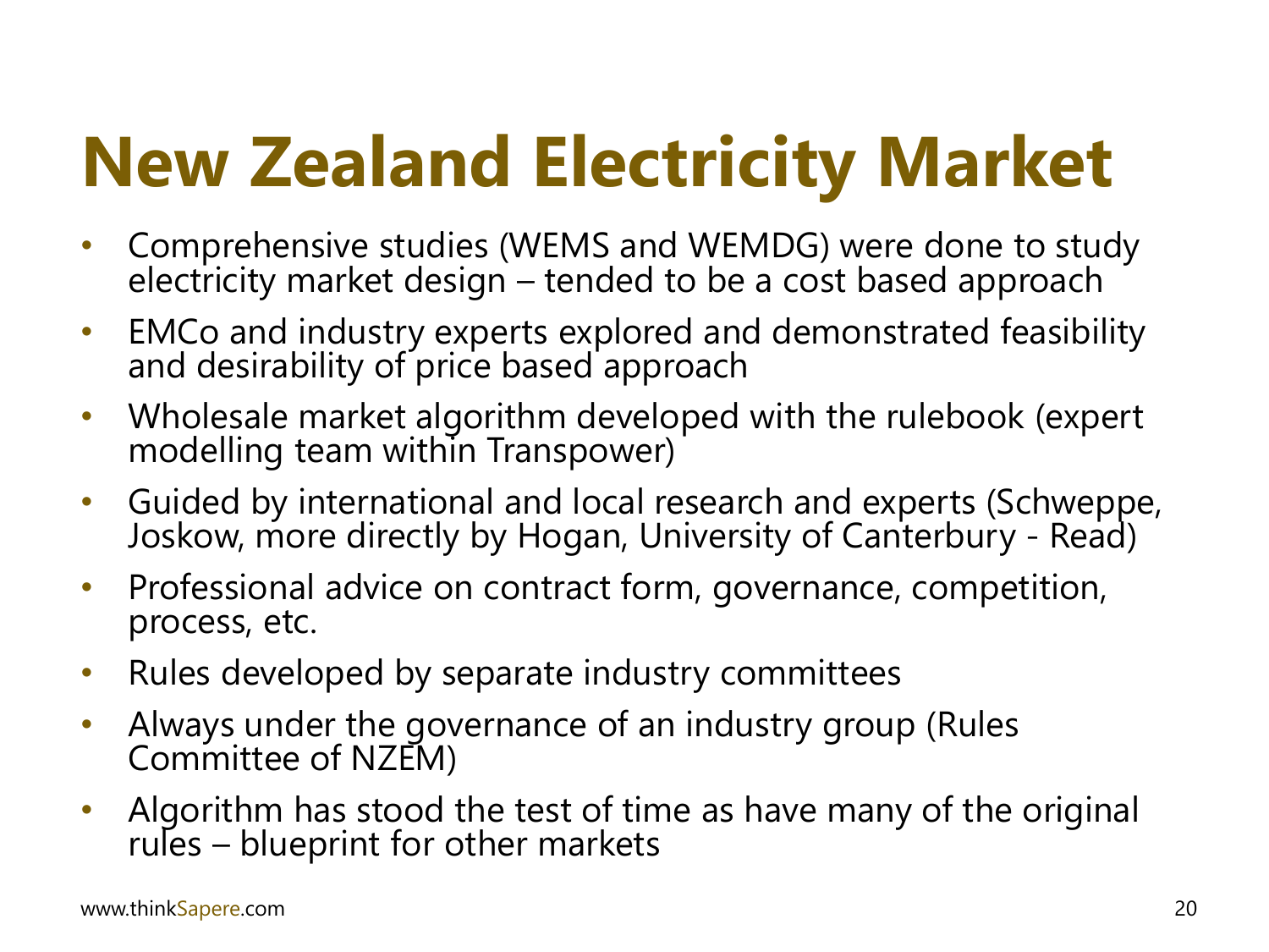# **New Zealand Electricity Market**

- Comprehensive studies (WEMS and WEMDG) were done to study electricity market design  $-$  tended to be a cost based approach
- EMCo and industry experts explored and demonstrated feasibility and desirability of price based approach
- Wholesale market algorithm developed with the rulebook (expert modelling team within Transpower)
- Guided by international and local research and experts (Schweppe, Joskow, more directly by Hogan, University of Canterbury - Read)
- Professional advice on contract form, governance, competition, process, etc.
- Rules developed by separate industry committees
- Always under the governance of an industry group (Rules Committee of NZEM)
- Algorithm has stood the test of time as have many of the original rules – blueprint for other markets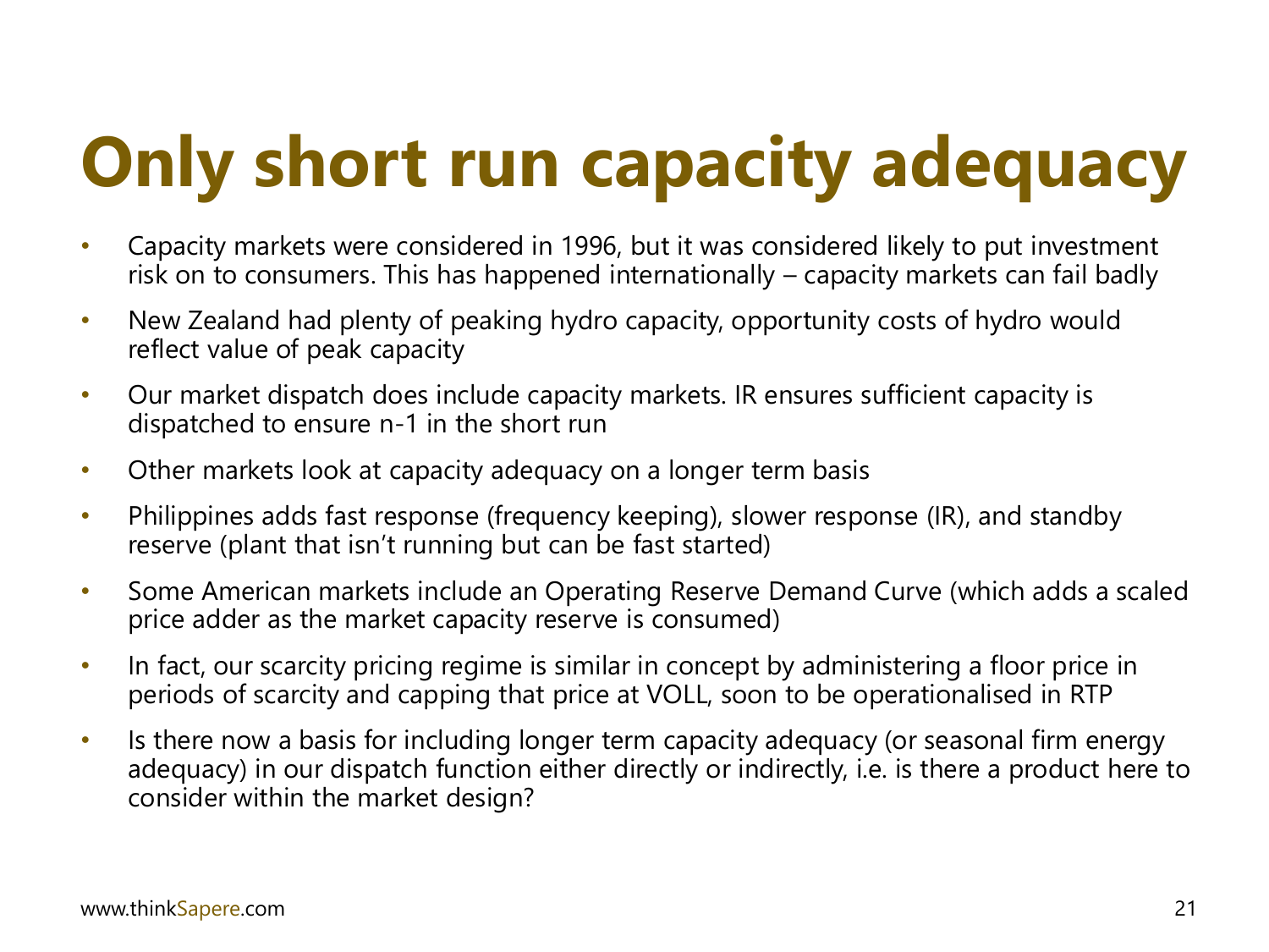# **Only short run capacity adequacy**

- Capacity markets were considered in 1996, but it was considered likely to put investment risk on to consumers. This has happened internationally – capacity markets can fail badly
- New Zealand had plenty of peaking hydro capacity, opportunity costs of hydro would reflect value of peak capacity
- Our market dispatch does include capacity markets. IR ensures sufficient capacity is dispatched to ensure n-1 in the short run
- Other markets look at capacity adequacy on a longer term basis
- Philippines adds fast response (frequency keeping), slower response (IR), and standby reserve (plant that isn't running but can be fast started)
- Some American markets include an Operating Reserve Demand Curve (which adds a scaled price adder as the market capacity reserve is consumed)
- In fact, our scarcity pricing regime is similar in concept by administering a floor price in periods of scarcity and capping that price at VOLL, soon to be operationalised in RTP
- Is there now a basis for including longer term capacity adequacy (or seasonal firm energy adequacy) in our dispatch function either directly or indirectly, i.e. is there a product here to consider within the market design?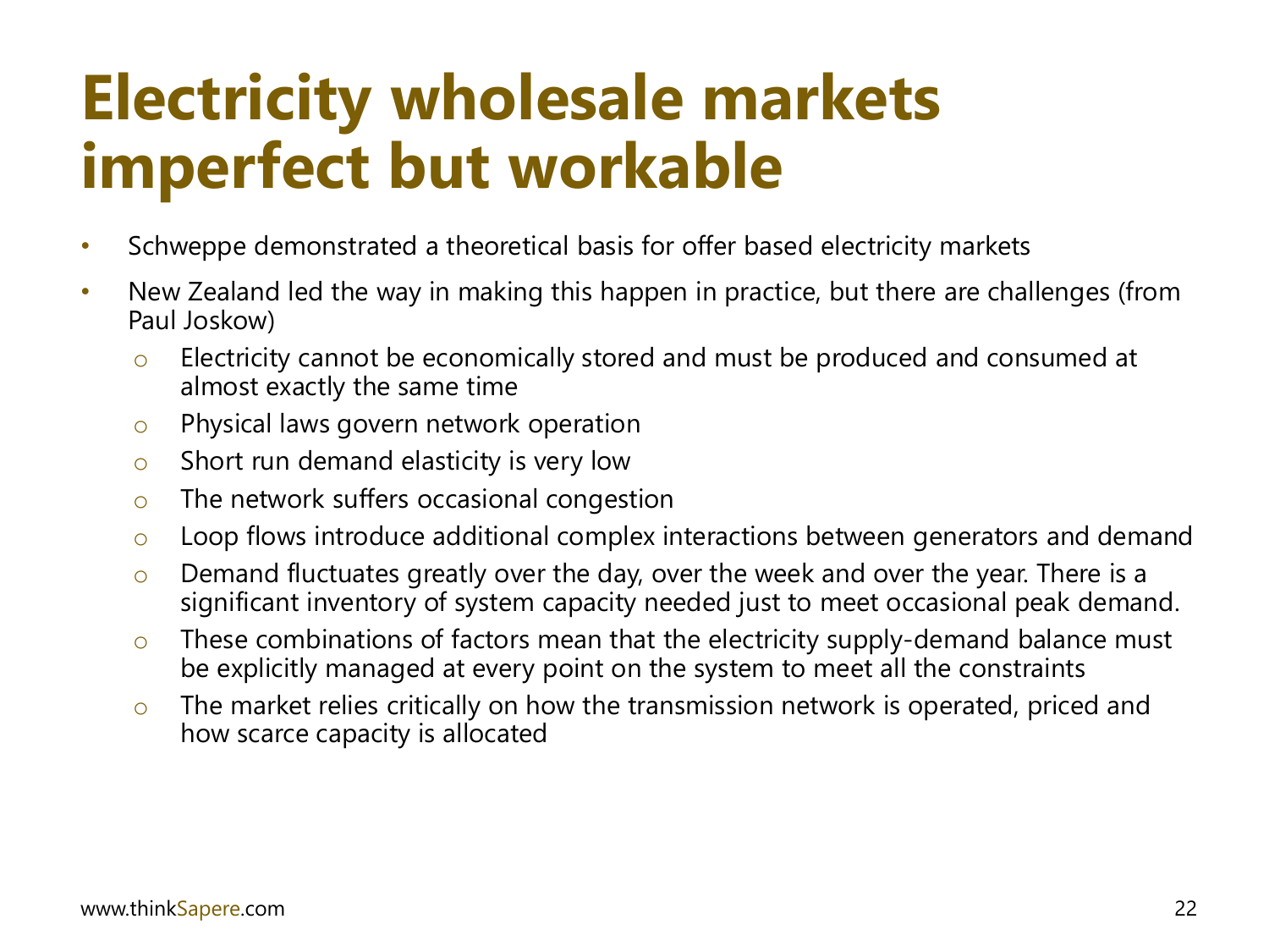### **Electricity wholesale markets imperfect but workable**

- Schweppe demonstrated a theoretical basis for offer based electricity markets
- New Zealand led the way in making this happen in practice, but there are challenges (from Paul Joskow)
	- o Electricity cannot be economically stored and must be produced and consumed at almost exactly the same time
	- o Physical laws govern network operation
	- $\circ$  Short run demand elasticity is very low
	- $\circ$  The network suffers occasional congestion
	- o Loop flows introduce additional complex interactions between generators and demand
	- $\circ$  Demand fluctuates greatly over the day, over the week and over the year. There is a significant inventory of system capacity needed just to meet occasional peak demand.
	- $\circ$  These combinations of factors mean that the electricity supply-demand balance must be explicitly managed at every point on the system to meet all the constraints
	- $\circ$  The market relies critically on how the transmission network is operated, priced and how scarce capacity is allocated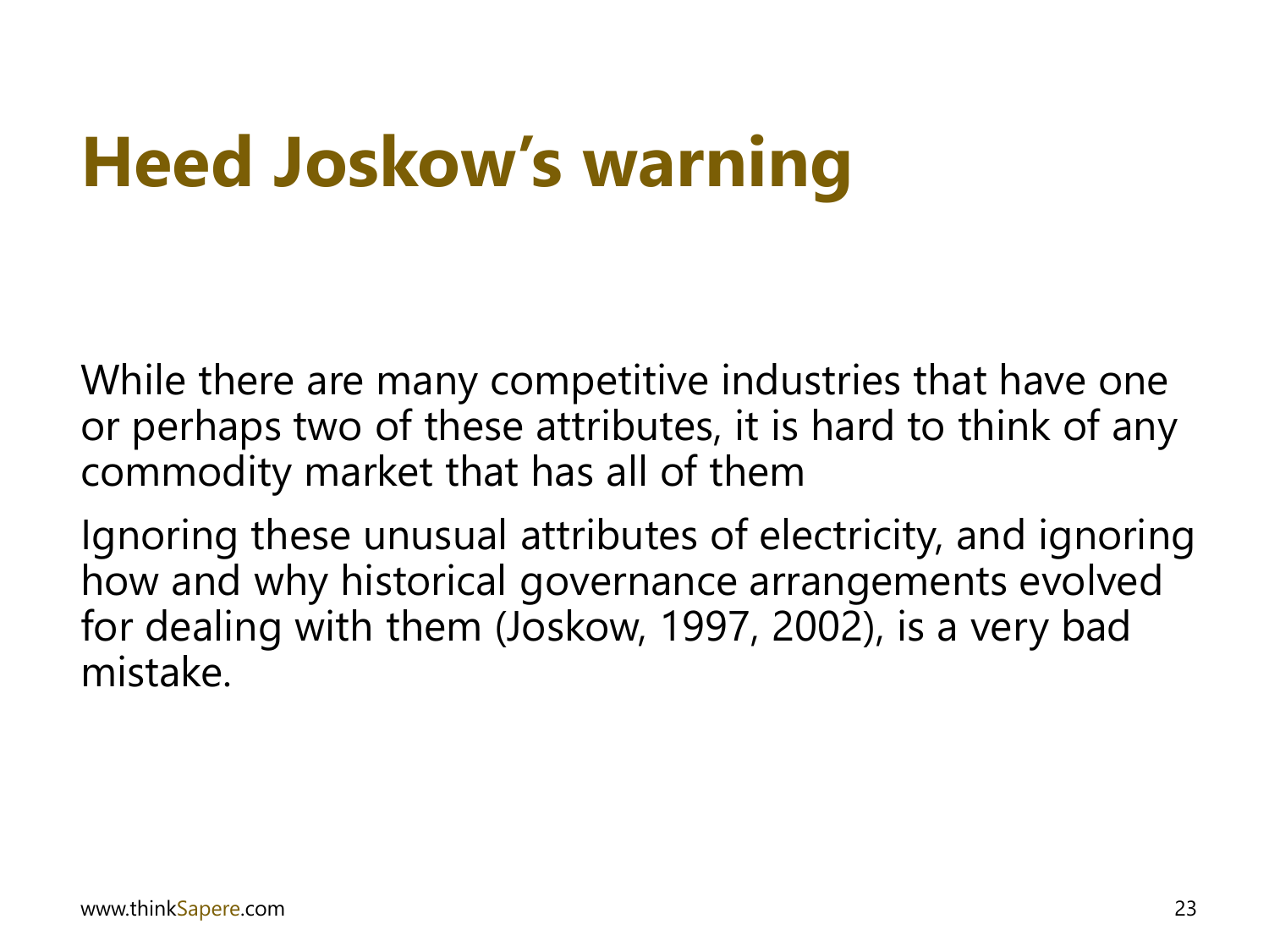# **Heed Joskow's warning**

While there are many competitive industries that have one or perhaps two of these attributes, it is hard to think of any commodity market that has all of them

Ignoring these unusual attributes of electricity, and ignoring how and why historical governance arrangements evolved for dealing with them (Joskow, 1997, 2002), is a very bad mistake.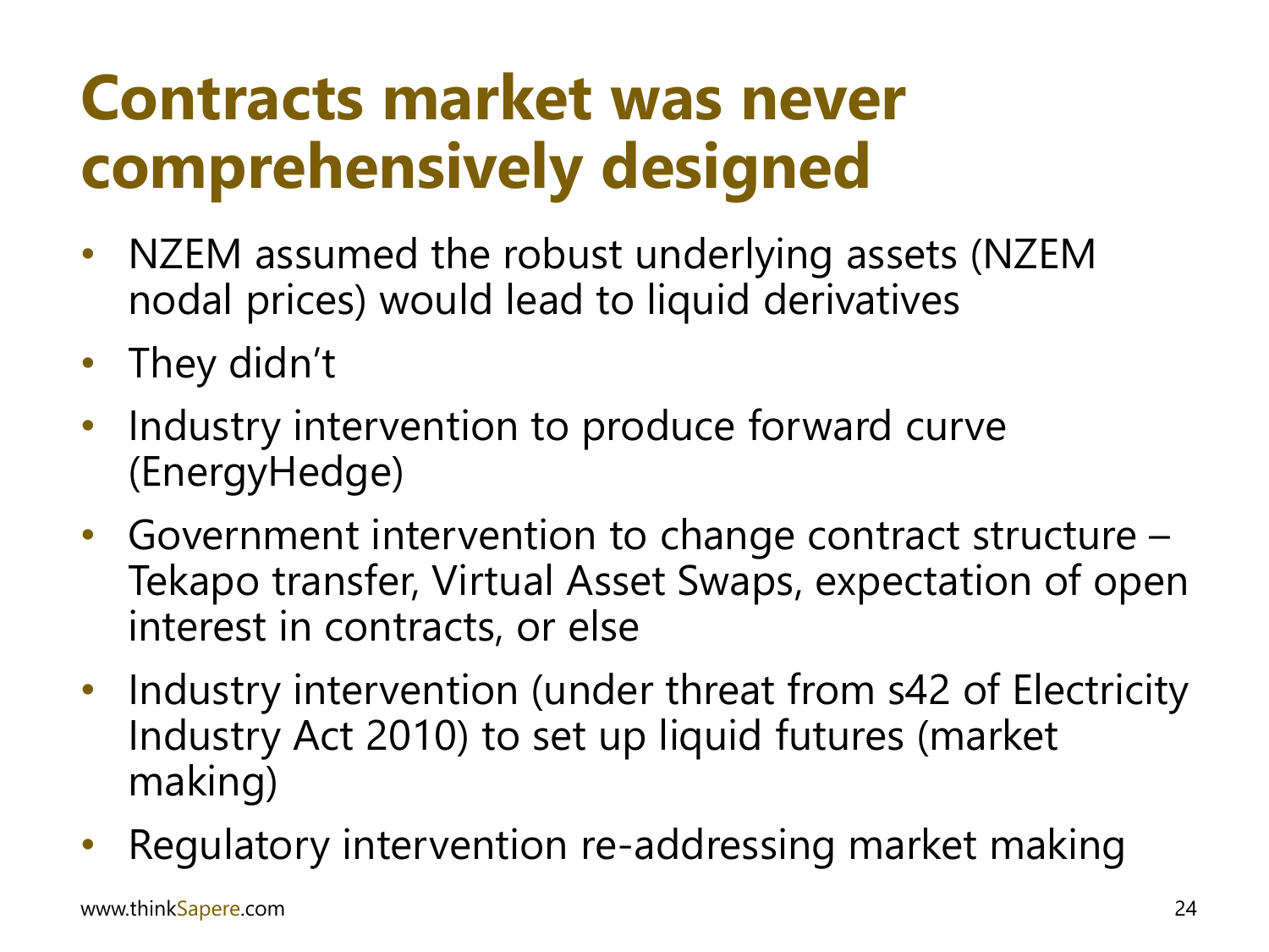### **Contracts market was never comprehensively designed**

- NZEM assumed the robust underlying assets (NZEM nodal prices) would lead to liquid derivatives
- They didn't
- Industry intervention to produce forward curve (EnergyHedge)
- Government intervention to change contract structure Tekapo transfer, Virtual Asset Swaps, expectation of open interest in contracts, or else
- Industry intervention (under threat from s42 of Electricity Industry Act 2010) to set up liquid futures (market making)
- Regulatory intervention re-addressing market making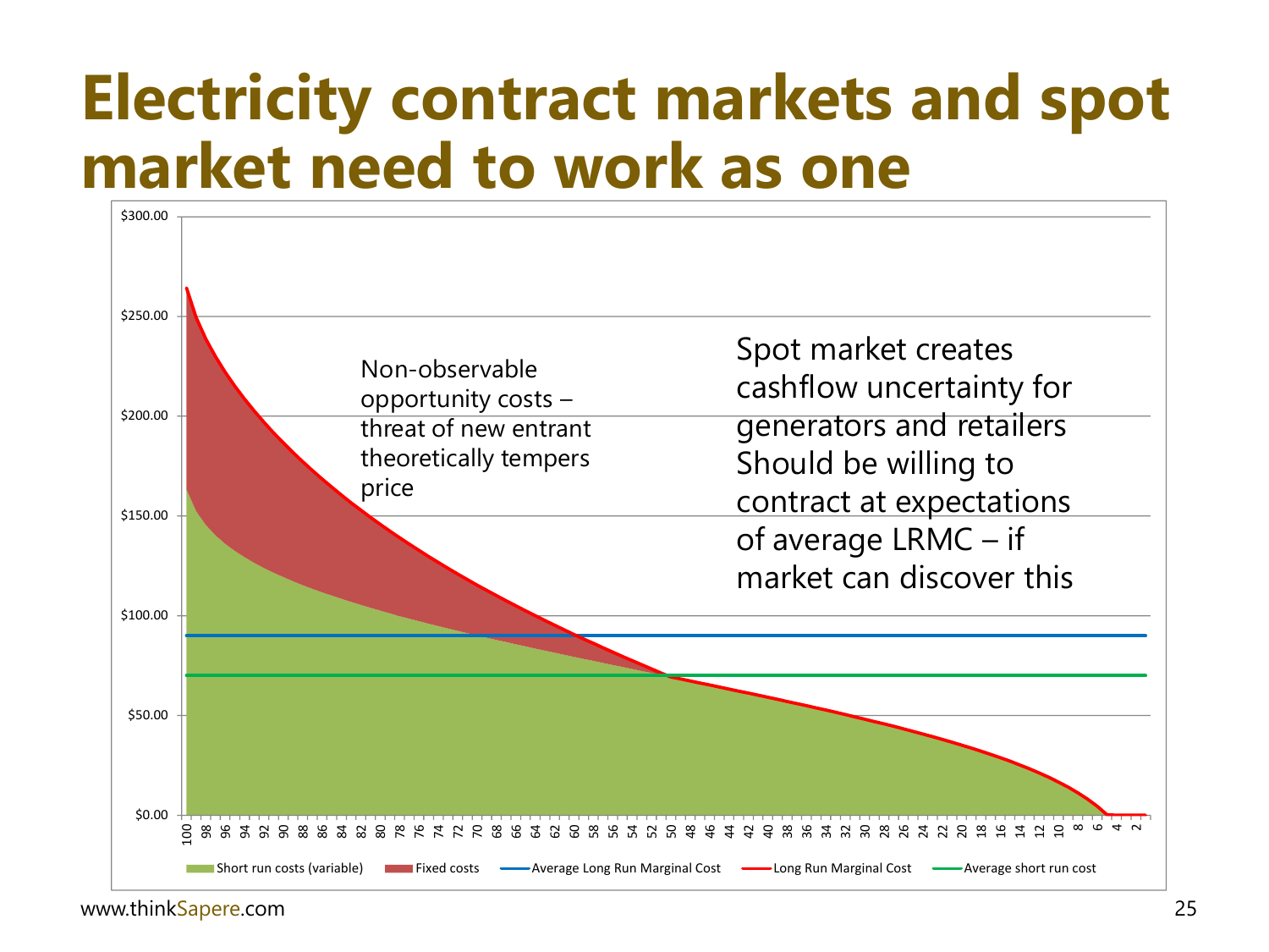#### **Electricity contract markets and spot market need to work as one**

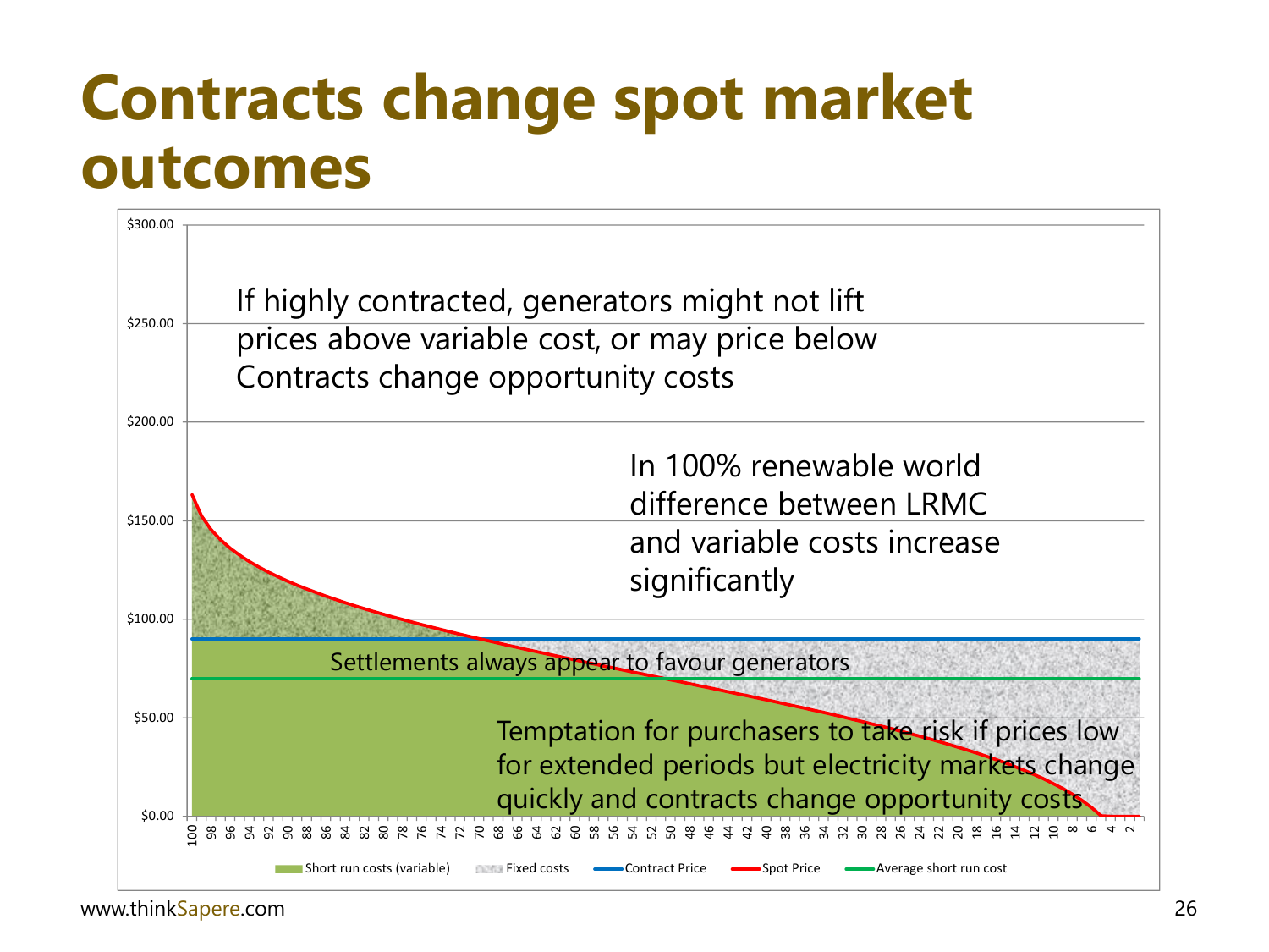#### **Contracts change spot market outcomes**

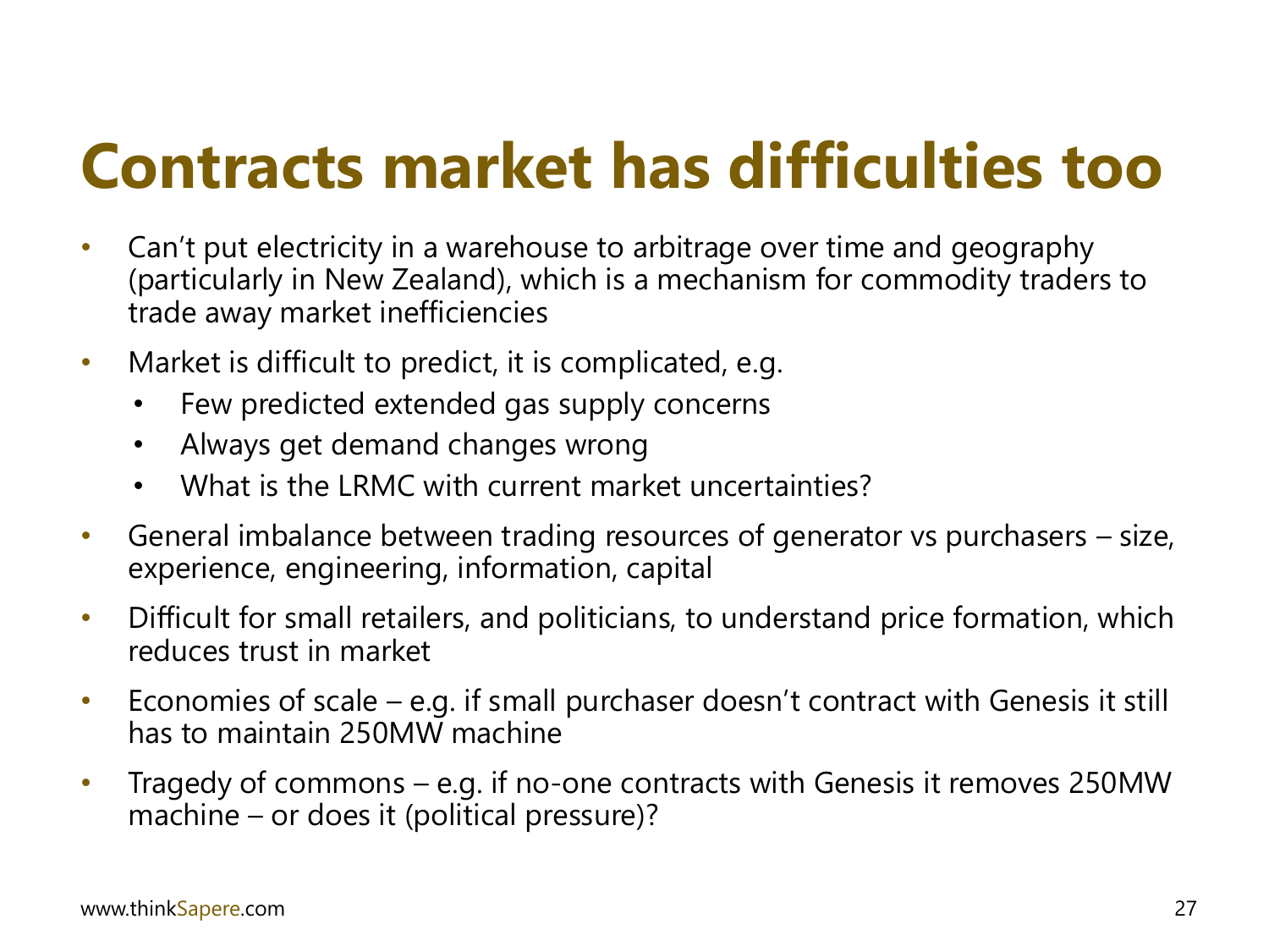### **Contracts market has difficulties too**

- Can't put electricity in a warehouse to arbitrage over time and geography (particularly in New Zealand), which is a mechanism for commodity traders to trade away market inefficiencies
- Market is difficult to predict, it is complicated, e.g.
	- Few predicted extended gas supply concerns
	- Always get demand changes wrong
	- What is the LRMC with current market uncertainties?
- General imbalance between trading resources of generator vs purchasers size, experience, engineering, information, capital
- Difficult for small retailers, and politicians, to understand price formation, which reduces trust in market
- Economies of scale e.g. if small purchaser doesn't contract with Genesis it still has to maintain 250MW machine
- Tragedy of commons e.g. if no-one contracts with Genesis it removes 250MW machine – or does it (political pressure)?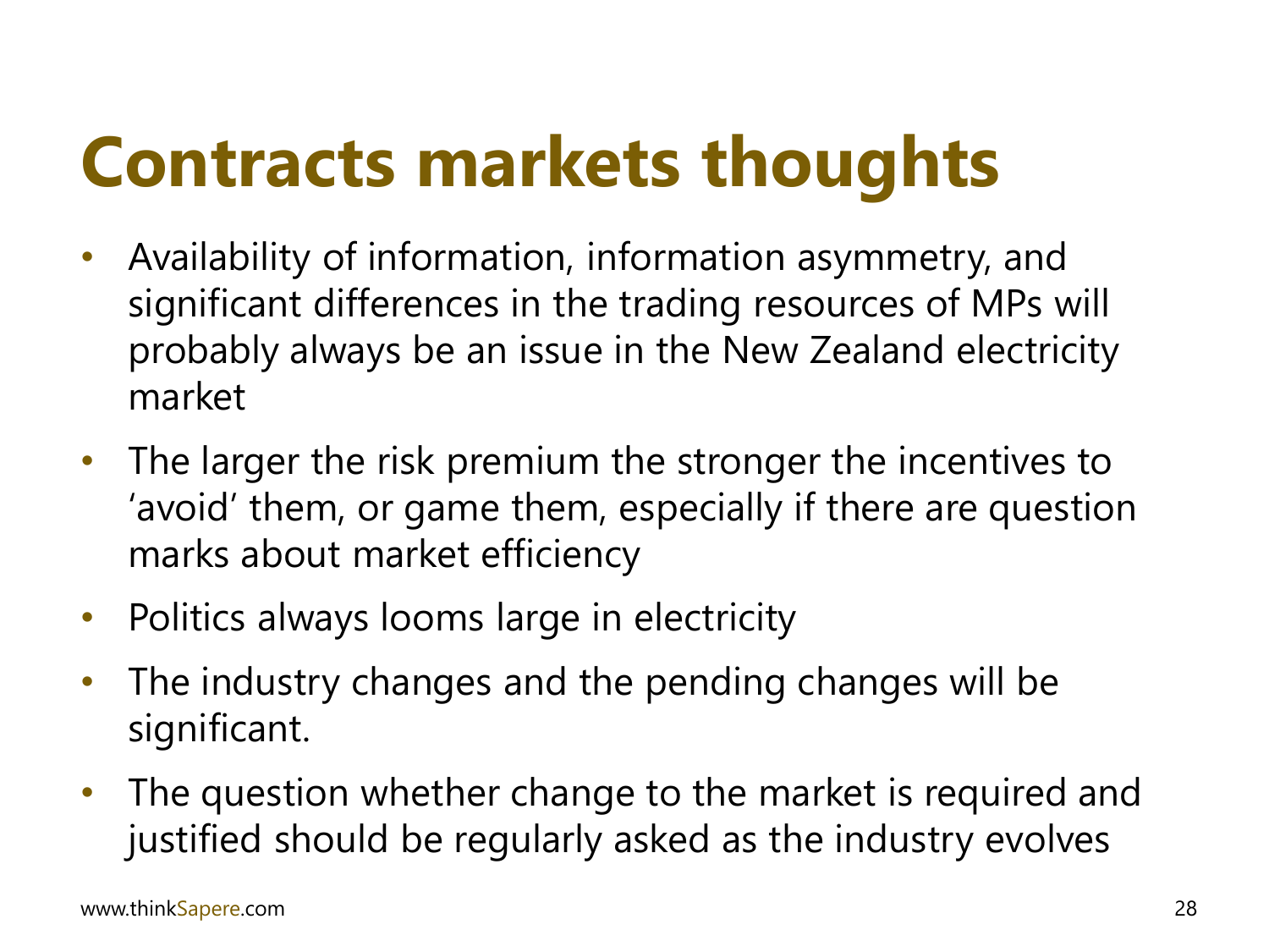## **Contracts markets thoughts**

- Availability of information, information asymmetry, and significant differences in the trading resources of MPs will probably always be an issue in the New Zealand electricity market
- The larger the risk premium the stronger the incentives to 'avoid' them, or game them, especially if there are question marks about market efficiency
- Politics always looms large in electricity
- The industry changes and the pending changes will be significant.
- The question whether change to the market is required and justified should be regularly asked as the industry evolves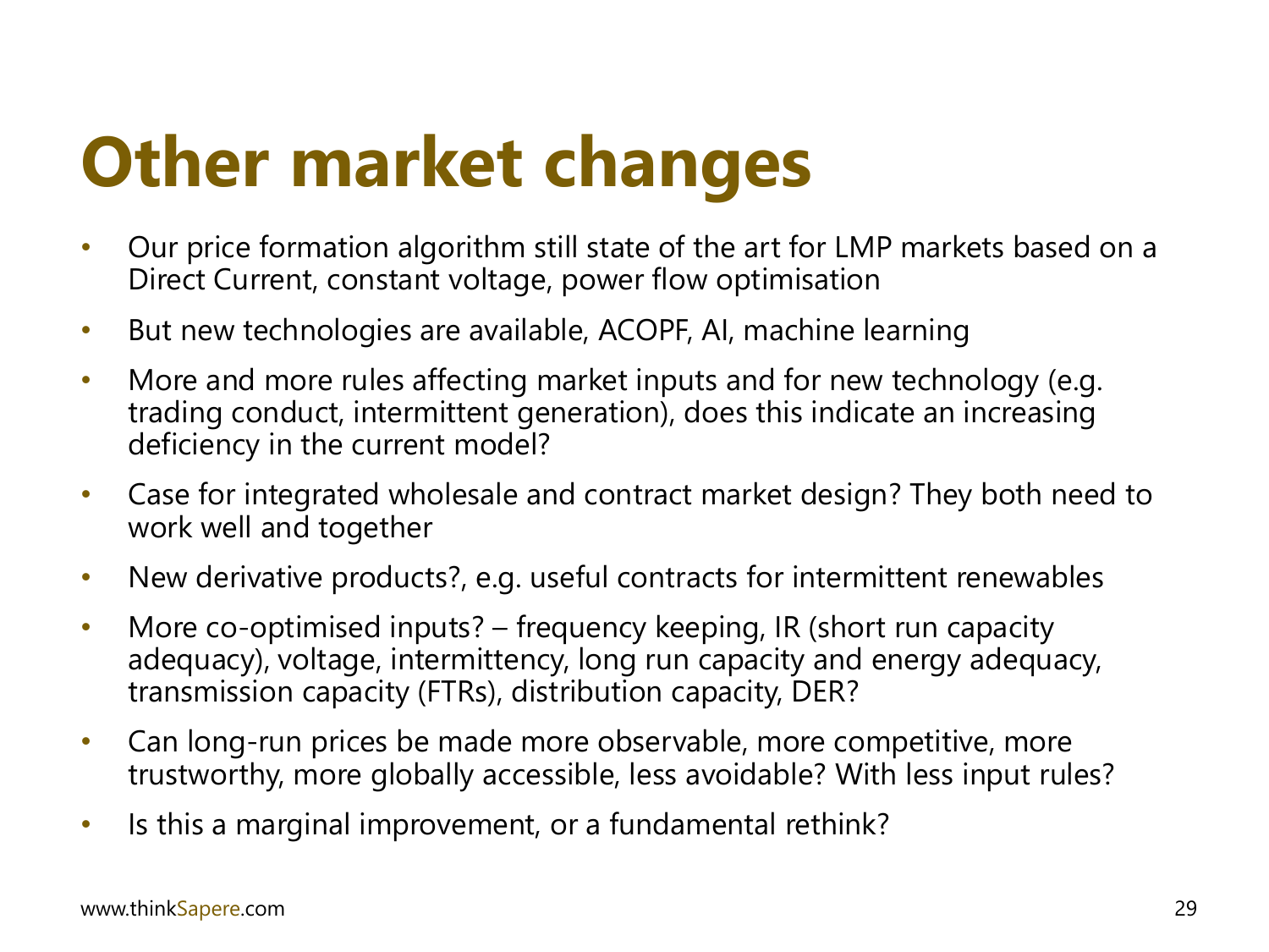### **Other market changes**

- Our price formation algorithm still state of the art for LMP markets based on a Direct Current, constant voltage, power flow optimisation
- But new technologies are available, ACOPF, AI, machine learning
- More and more rules affecting market inputs and for new technology (e.g. trading conduct, intermittent generation), does this indicate an increasing deficiency in the current model?
- Case for integrated wholesale and contract market design? They both need to work well and together
- New derivative products?, e.g. useful contracts for intermittent renewables
- More co-optimised inputs? frequency keeping, IR (short run capacity adequacy), voltage, intermittency, long run capacity and energy adequacy, transmission capacity (FTRs), distribution capacity, DER?
- Can long-run prices be made more observable, more competitive, more trustworthy, more globally accessible, less avoidable? With less input rules?
- Is this a marginal improvement, or a fundamental rethink?